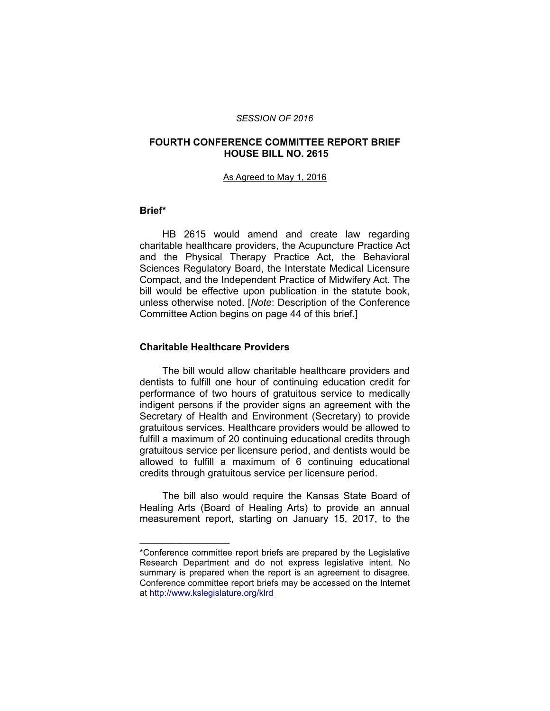#### *SESSION OF 2016*

## **FOURTH CONFERENCE COMMITTEE REPORT BRIEF HOUSE BILL NO. 2615**

#### As Agreed to May 1, 2016

#### **Brief\***

HB 2615 would amend and create law regarding charitable healthcare providers, the Acupuncture Practice Act and the Physical Therapy Practice Act, the Behavioral Sciences Regulatory Board, the Interstate Medical Licensure Compact, and the Independent Practice of Midwifery Act. The bill would be effective upon publication in the statute book, unless otherwise noted. [*Note*: Description of the Conference Committee Action begins on page 44 of this brief.]

#### **Charitable Healthcare Providers**

\_\_\_\_\_\_\_\_\_\_\_\_\_\_\_\_\_\_\_\_

The bill would allow charitable healthcare providers and dentists to fulfill one hour of continuing education credit for performance of two hours of gratuitous service to medically indigent persons if the provider signs an agreement with the Secretary of Health and Environment (Secretary) to provide gratuitous services. Healthcare providers would be allowed to fulfill a maximum of 20 continuing educational credits through gratuitous service per licensure period, and dentists would be allowed to fulfill a maximum of 6 continuing educational credits through gratuitous service per licensure period.

The bill also would require the Kansas State Board of Healing Arts (Board of Healing Arts) to provide an annual measurement report, starting on January 15, 2017, to the

<sup>\*</sup>Conference committee report briefs are prepared by the Legislative Research Department and do not express legislative intent. No summary is prepared when the report is an agreement to disagree. Conference committee report briefs may be accessed on the Internet at<http://www.kslegislature.org/klrd>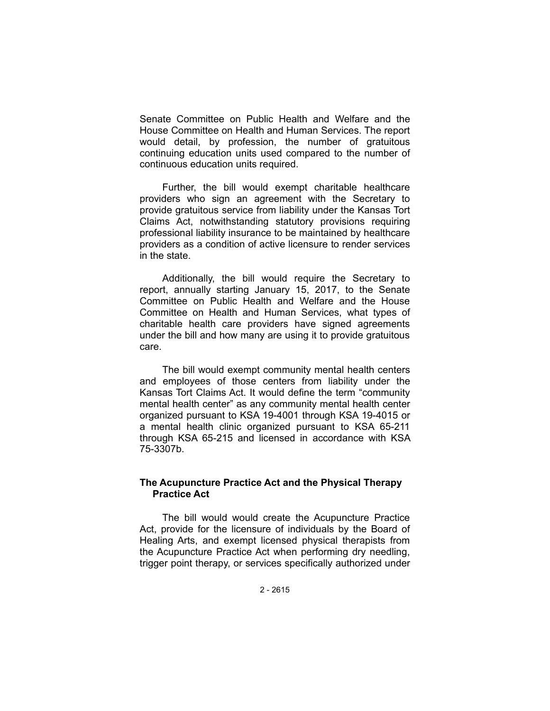Senate Committee on Public Health and Welfare and the House Committee on Health and Human Services. The report would detail, by profession, the number of gratuitous continuing education units used compared to the number of continuous education units required.

Further, the bill would exempt charitable healthcare providers who sign an agreement with the Secretary to provide gratuitous service from liability under the Kansas Tort Claims Act, notwithstanding statutory provisions requiring professional liability insurance to be maintained by healthcare providers as a condition of active licensure to render services in the state.

Additionally, the bill would require the Secretary to report, annually starting January 15, 2017, to the Senate Committee on Public Health and Welfare and the House Committee on Health and Human Services, what types of charitable health care providers have signed agreements under the bill and how many are using it to provide gratuitous care.

The bill would exempt community mental health centers and employees of those centers from liability under the Kansas Tort Claims Act. It would define the term "community mental health center" as any community mental health center organized pursuant to KSA 19-4001 through KSA 19-4015 or a mental health clinic organized pursuant to KSA 65-211 through KSA 65-215 and licensed in accordance with KSA 75-3307b.

## **The Acupuncture Practice Act and the Physical Therapy Practice Act**

The bill would would create the Acupuncture Practice Act, provide for the licensure of individuals by the Board of Healing Arts, and exempt licensed physical therapists from the Acupuncture Practice Act when performing dry needling, trigger point therapy, or services specifically authorized under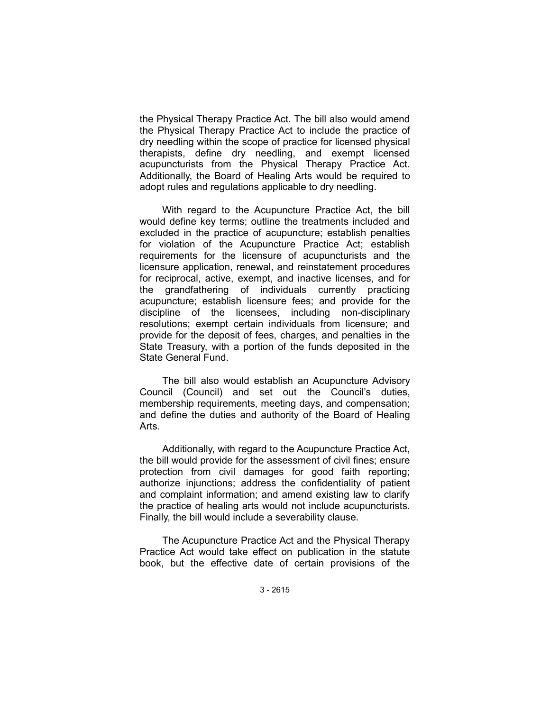the Physical Therapy Practice Act. The bill also would amend the Physical Therapy Practice Act to include the practice of dry needling within the scope of practice for licensed physical therapists, define dry needling, and exempt licensed acupuncturists from the Physical Therapy Practice Act. Additionally, the Board of Healing Arts would be required to adopt rules and regulations applicable to dry needling.

With regard to the Acupuncture Practice Act, the bill would define key terms; outline the treatments included and excluded in the practice of acupuncture; establish penalties for violation of the Acupuncture Practice Act; establish requirements for the licensure of acupuncturists and the licensure application, renewal, and reinstatement procedures for reciprocal, active, exempt, and inactive licenses, and for the grandfathering of individuals currently practicing acupuncture; establish licensure fees; and provide for the discipline of the licensees, including non-disciplinary resolutions; exempt certain individuals from licensure; and provide for the deposit of fees, charges, and penalties in the State Treasury, with a portion of the funds deposited in the State General Fund.

The bill also would establish an Acupuncture Advisory Council (Council) and set out the Council's duties, membership requirements, meeting days, and compensation; and define the duties and authority of the Board of Healing Arts.

Additionally, with regard to the Acupuncture Practice Act, the bill would provide for the assessment of civil fines; ensure protection from civil damages for good faith reporting; authorize injunctions; address the confidentiality of patient and complaint information; and amend existing law to clarify the practice of healing arts would not include acupuncturists. Finally, the bill would include a severability clause.

The Acupuncture Practice Act and the Physical Therapy Practice Act would take effect on publication in the statute book, but the effective date of certain provisions of the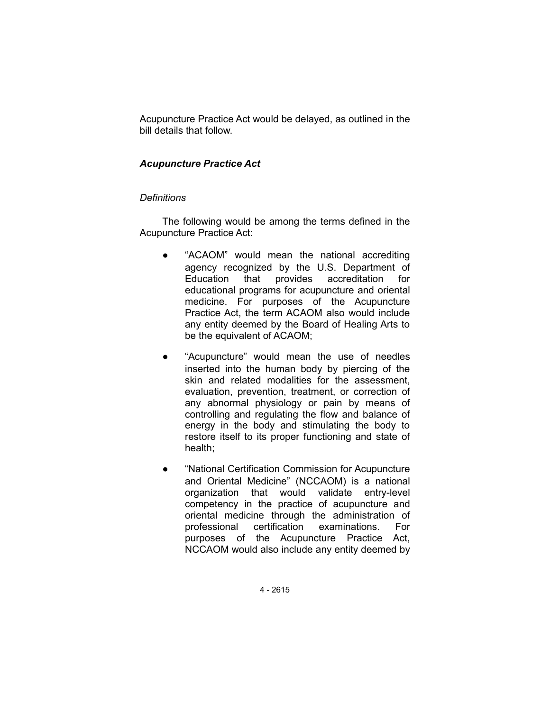Acupuncture Practice Act would be delayed, as outlined in the bill details that follow.

## *Acupuncture Practice Act*

## *Definitions*

The following would be among the terms defined in the Acupuncture Practice Act:

- "ACAOM" would mean the national accrediting agency recognized by the U.S. Department of Education that provides accreditation for educational programs for acupuncture and oriental medicine. For purposes of the Acupuncture Practice Act, the term ACAOM also would include any entity deemed by the Board of Healing Arts to be the equivalent of ACAOM;
- "Acupuncture" would mean the use of needles inserted into the human body by piercing of the skin and related modalities for the assessment, evaluation, prevention, treatment, or correction of any abnormal physiology or pain by means of controlling and regulating the flow and balance of energy in the body and stimulating the body to restore itself to its proper functioning and state of health;
- "National Certification Commission for Acupuncture and Oriental Medicine" (NCCAOM) is a national organization that would validate entry-level competency in the practice of acupuncture and oriental medicine through the administration of professional certification examinations. For purposes of the Acupuncture Practice Act, NCCAOM would also include any entity deemed by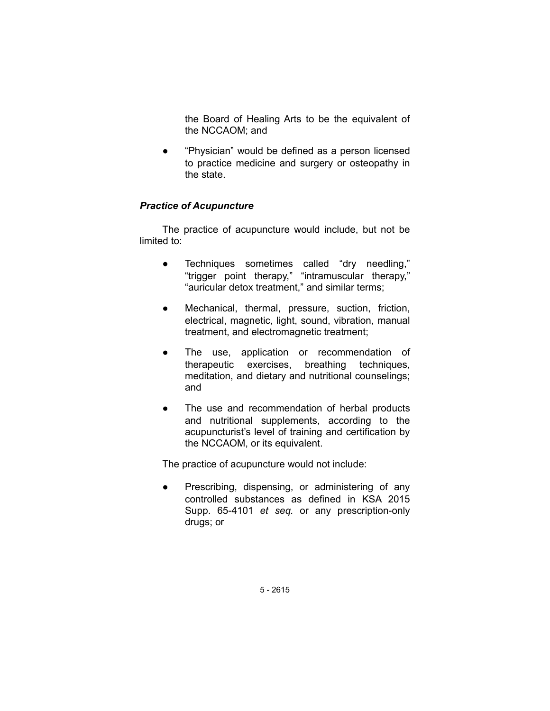the Board of Healing Arts to be the equivalent of the NCCAOM; and

● "Physician" would be defined as a person licensed to practice medicine and surgery or osteopathy in the state.

## *Practice of Acupuncture*

The practice of acupuncture would include, but not be limited to:

- Techniques sometimes called "dry needling," "trigger point therapy," "intramuscular therapy," "auricular detox treatment," and similar terms;
- Mechanical, thermal, pressure, suction, friction, electrical, magnetic, light, sound, vibration, manual treatment, and electromagnetic treatment;
- The use, application or recommendation of therapeutic exercises, breathing techniques, meditation, and dietary and nutritional counselings; and
- The use and recommendation of herbal products and nutritional supplements, according to the acupuncturist's level of training and certification by the NCCAOM, or its equivalent.

The practice of acupuncture would not include:

• Prescribing, dispensing, or administering of any controlled substances as defined in KSA 2015 Supp. 65-4101 *et seq.* or any prescription-only drugs; or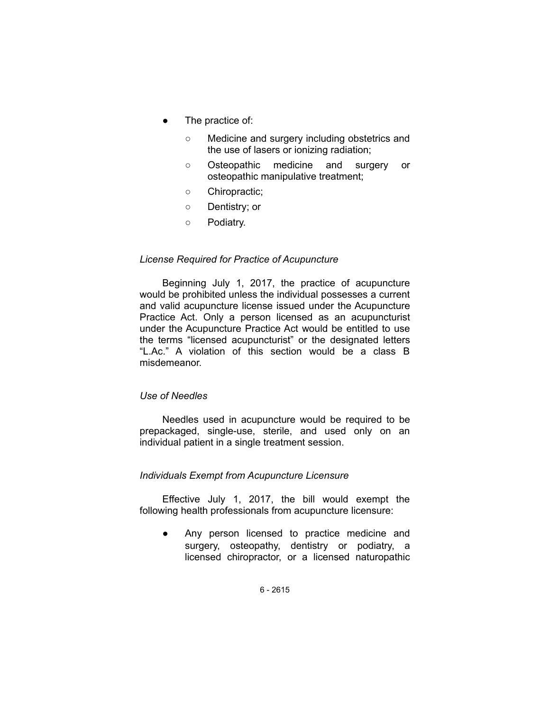- The practice of:
	- Medicine and surgery including obstetrics and the use of lasers or ionizing radiation;
	- Osteopathic medicine and surgery or osteopathic manipulative treatment;
	- Chiropractic;
	- Dentistry; or
	- Podiatry.

### *License Required for Practice of Acupuncture*

Beginning July 1, 2017, the practice of acupuncture would be prohibited unless the individual possesses a current and valid acupuncture license issued under the Acupuncture Practice Act. Only a person licensed as an acupuncturist under the Acupuncture Practice Act would be entitled to use the terms "licensed acupuncturist" or the designated letters "L.Ac." A violation of this section would be a class B misdemeanor.

#### *Use of Needles*

Needles used in acupuncture would be required to be prepackaged, single-use, sterile, and used only on an individual patient in a single treatment session.

## *Individuals Exempt from Acupuncture Licensure*

Effective July 1, 2017, the bill would exempt the following health professionals from acupuncture licensure:

● Any person licensed to practice medicine and surgery, osteopathy, dentistry or podiatry, a licensed chiropractor, or a licensed naturopathic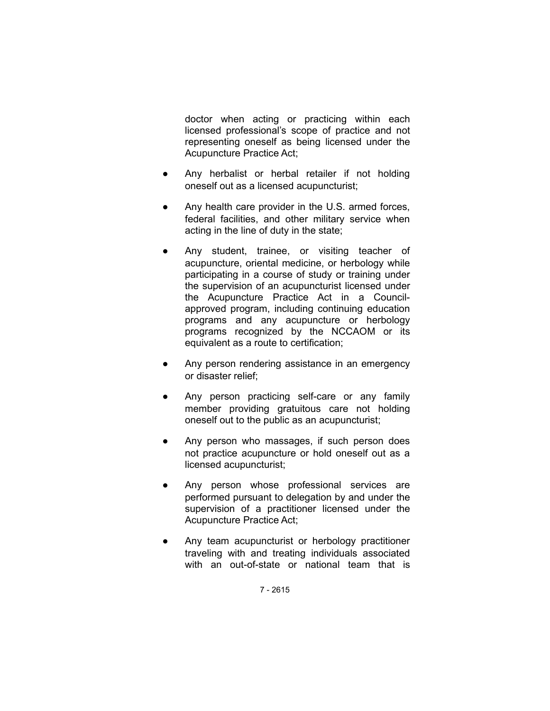doctor when acting or practicing within each licensed professional's scope of practice and not representing oneself as being licensed under the Acupuncture Practice Act;

- Any herbalist or herbal retailer if not holding oneself out as a licensed acupuncturist;
- Any health care provider in the U.S. armed forces, federal facilities, and other military service when acting in the line of duty in the state;
- Any student, trainee, or visiting teacher of acupuncture, oriental medicine, or herbology while participating in a course of study or training under the supervision of an acupuncturist licensed under the Acupuncture Practice Act in a Councilapproved program, including continuing education programs and any acupuncture or herbology programs recognized by the NCCAOM or its equivalent as a route to certification;
- Any person rendering assistance in an emergency or disaster relief;
- Any person practicing self-care or any family member providing gratuitous care not holding oneself out to the public as an acupuncturist;
- Any person who massages, if such person does not practice acupuncture or hold oneself out as a licensed acupuncturist;
- Any person whose professional services are performed pursuant to delegation by and under the supervision of a practitioner licensed under the Acupuncture Practice Act;
- Any team acupuncturist or herbology practitioner traveling with and treating individuals associated with an out-of-state or national team that is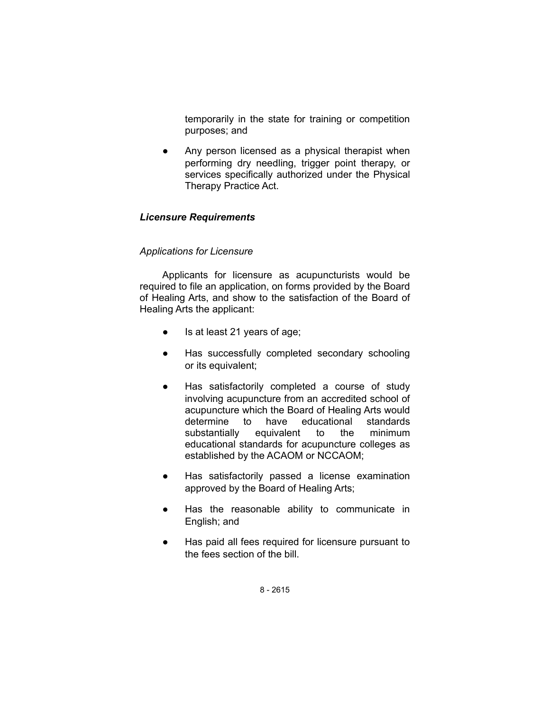temporarily in the state for training or competition purposes; and

• Any person licensed as a physical therapist when performing dry needling, trigger point therapy, or services specifically authorized under the Physical Therapy Practice Act.

## *Licensure Requirements*

## *Applications for Licensure*

Applicants for licensure as acupuncturists would be required to file an application, on forms provided by the Board of Healing Arts, and show to the satisfaction of the Board of Healing Arts the applicant:

- Is at least 21 years of age;
- Has successfully completed secondary schooling or its equivalent;
- Has satisfactorily completed a course of study involving acupuncture from an accredited school of acupuncture which the Board of Healing Arts would determine to have educational standards substantially equivalent to the minimum educational standards for acupuncture colleges as established by the ACAOM or NCCAOM;
- Has satisfactorily passed a license examination approved by the Board of Healing Arts;
- Has the reasonable ability to communicate in English; and
- Has paid all fees required for licensure pursuant to the fees section of the bill.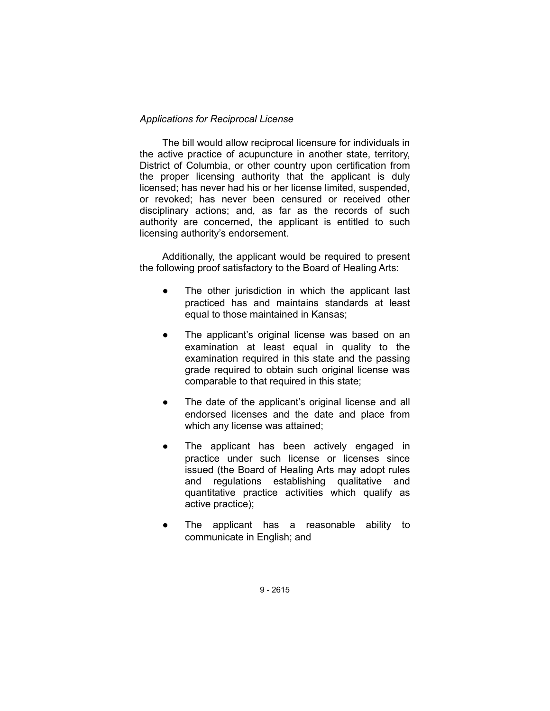## *Applications for Reciprocal License*

The bill would allow reciprocal licensure for individuals in the active practice of acupuncture in another state, territory, District of Columbia, or other country upon certification from the proper licensing authority that the applicant is duly licensed; has never had his or her license limited, suspended, or revoked; has never been censured or received other disciplinary actions; and, as far as the records of such authority are concerned, the applicant is entitled to such licensing authority's endorsement.

Additionally, the applicant would be required to present the following proof satisfactory to the Board of Healing Arts:

- The other jurisdiction in which the applicant last practiced has and maintains standards at least equal to those maintained in Kansas;
- The applicant's original license was based on an examination at least equal in quality to the examination required in this state and the passing grade required to obtain such original license was comparable to that required in this state;
- The date of the applicant's original license and all endorsed licenses and the date and place from which any license was attained;
- The applicant has been actively engaged in practice under such license or licenses since issued (the Board of Healing Arts may adopt rules and regulations establishing qualitative and quantitative practice activities which qualify as active practice);
- The applicant has a reasonable ability to communicate in English; and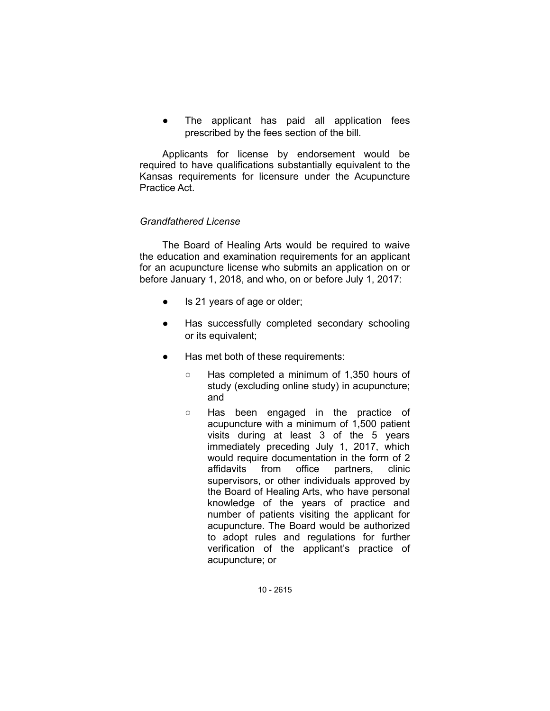The applicant has paid all application fees prescribed by the fees section of the bill.

Applicants for license by endorsement would be required to have qualifications substantially equivalent to the Kansas requirements for licensure under the Acupuncture Practice Act.

## *Grandfathered License*

The Board of Healing Arts would be required to waive the education and examination requirements for an applicant for an acupuncture license who submits an application on or before January 1, 2018, and who, on or before July 1, 2017:

- Is 21 years of age or older;
- Has successfully completed secondary schooling or its equivalent;
- Has met both of these requirements:
	- Has completed a minimum of 1,350 hours of study (excluding online study) in acupuncture; and
	- Has been engaged in the practice of acupuncture with a minimum of 1,500 patient visits during at least 3 of the 5 years immediately preceding July 1, 2017, which would require documentation in the form of 2 affidavits from office partners, clinic supervisors, or other individuals approved by the Board of Healing Arts, who have personal knowledge of the years of practice and number of patients visiting the applicant for acupuncture. The Board would be authorized to adopt rules and regulations for further verification of the applicant's practice of acupuncture; or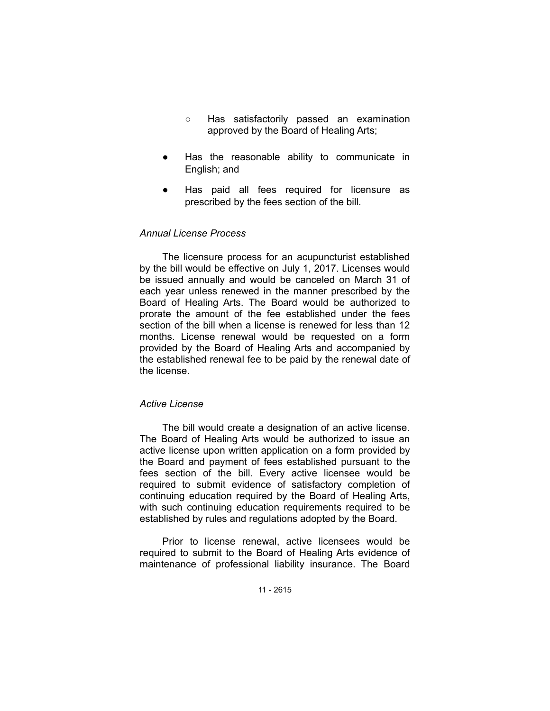- Has satisfactorily passed an examination approved by the Board of Healing Arts;
- Has the reasonable ability to communicate in English; and
- Has paid all fees required for licensure as prescribed by the fees section of the bill.

## *Annual License Process*

The licensure process for an acupuncturist established by the bill would be effective on July 1, 2017. Licenses would be issued annually and would be canceled on March 31 of each year unless renewed in the manner prescribed by the Board of Healing Arts. The Board would be authorized to prorate the amount of the fee established under the fees section of the bill when a license is renewed for less than 12 months. License renewal would be requested on a form provided by the Board of Healing Arts and accompanied by the established renewal fee to be paid by the renewal date of the license.

### *Active License*

The bill would create a designation of an active license. The Board of Healing Arts would be authorized to issue an active license upon written application on a form provided by the Board and payment of fees established pursuant to the fees section of the bill. Every active licensee would be required to submit evidence of satisfactory completion of continuing education required by the Board of Healing Arts, with such continuing education requirements required to be established by rules and regulations adopted by the Board.

Prior to license renewal, active licensees would be required to submit to the Board of Healing Arts evidence of maintenance of professional liability insurance. The Board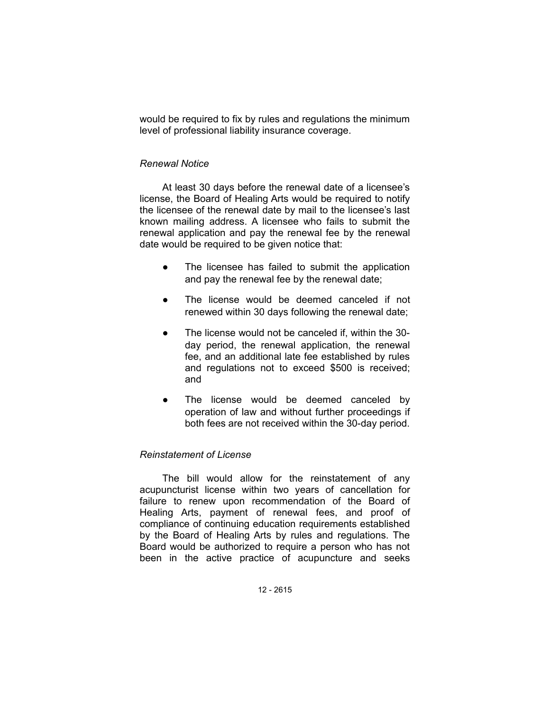would be required to fix by rules and regulations the minimum level of professional liability insurance coverage.

## *Renewal Notice*

At least 30 days before the renewal date of a licensee's license, the Board of Healing Arts would be required to notify the licensee of the renewal date by mail to the licensee's last known mailing address. A licensee who fails to submit the renewal application and pay the renewal fee by the renewal date would be required to be given notice that:

- The licensee has failed to submit the application and pay the renewal fee by the renewal date;
- The license would be deemed canceled if not renewed within 30 days following the renewal date;
- The license would not be canceled if, within the 30day period, the renewal application, the renewal fee, and an additional late fee established by rules and regulations not to exceed \$500 is received; and
- The license would be deemed canceled by operation of law and without further proceedings if both fees are not received within the 30-day period.

## *Reinstatement of License*

The bill would allow for the reinstatement of any acupuncturist license within two years of cancellation for failure to renew upon recommendation of the Board of Healing Arts, payment of renewal fees, and proof of compliance of continuing education requirements established by the Board of Healing Arts by rules and regulations. The Board would be authorized to require a person who has not been in the active practice of acupuncture and seeks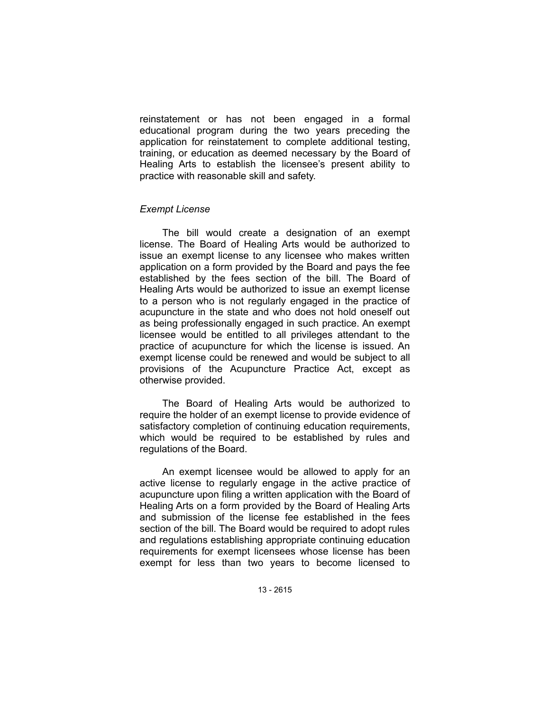reinstatement or has not been engaged in a formal educational program during the two years preceding the application for reinstatement to complete additional testing, training, or education as deemed necessary by the Board of Healing Arts to establish the licensee's present ability to practice with reasonable skill and safety.

### *Exempt License*

The bill would create a designation of an exempt license. The Board of Healing Arts would be authorized to issue an exempt license to any licensee who makes written application on a form provided by the Board and pays the fee established by the fees section of the bill. The Board of Healing Arts would be authorized to issue an exempt license to a person who is not regularly engaged in the practice of acupuncture in the state and who does not hold oneself out as being professionally engaged in such practice. An exempt licensee would be entitled to all privileges attendant to the practice of acupuncture for which the license is issued. An exempt license could be renewed and would be subject to all provisions of the Acupuncture Practice Act, except as otherwise provided.

The Board of Healing Arts would be authorized to require the holder of an exempt license to provide evidence of satisfactory completion of continuing education requirements, which would be required to be established by rules and regulations of the Board.

An exempt licensee would be allowed to apply for an active license to regularly engage in the active practice of acupuncture upon filing a written application with the Board of Healing Arts on a form provided by the Board of Healing Arts and submission of the license fee established in the fees section of the bill. The Board would be required to adopt rules and regulations establishing appropriate continuing education requirements for exempt licensees whose license has been exempt for less than two years to become licensed to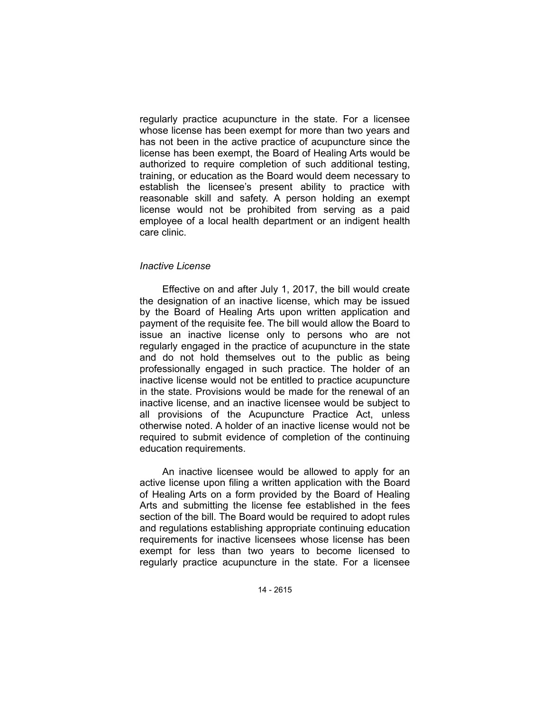regularly practice acupuncture in the state. For a licensee whose license has been exempt for more than two years and has not been in the active practice of acupuncture since the license has been exempt, the Board of Healing Arts would be authorized to require completion of such additional testing, training, or education as the Board would deem necessary to establish the licensee's present ability to practice with reasonable skill and safety. A person holding an exempt license would not be prohibited from serving as a paid employee of a local health department or an indigent health care clinic.

### *Inactive License*

Effective on and after July 1, 2017, the bill would create the designation of an inactive license, which may be issued by the Board of Healing Arts upon written application and payment of the requisite fee. The bill would allow the Board to issue an inactive license only to persons who are not regularly engaged in the practice of acupuncture in the state and do not hold themselves out to the public as being professionally engaged in such practice. The holder of an inactive license would not be entitled to practice acupuncture in the state. Provisions would be made for the renewal of an inactive license, and an inactive licensee would be subject to all provisions of the Acupuncture Practice Act, unless otherwise noted. A holder of an inactive license would not be required to submit evidence of completion of the continuing education requirements.

An inactive licensee would be allowed to apply for an active license upon filing a written application with the Board of Healing Arts on a form provided by the Board of Healing Arts and submitting the license fee established in the fees section of the bill. The Board would be required to adopt rules and regulations establishing appropriate continuing education requirements for inactive licensees whose license has been exempt for less than two years to become licensed to regularly practice acupuncture in the state. For a licensee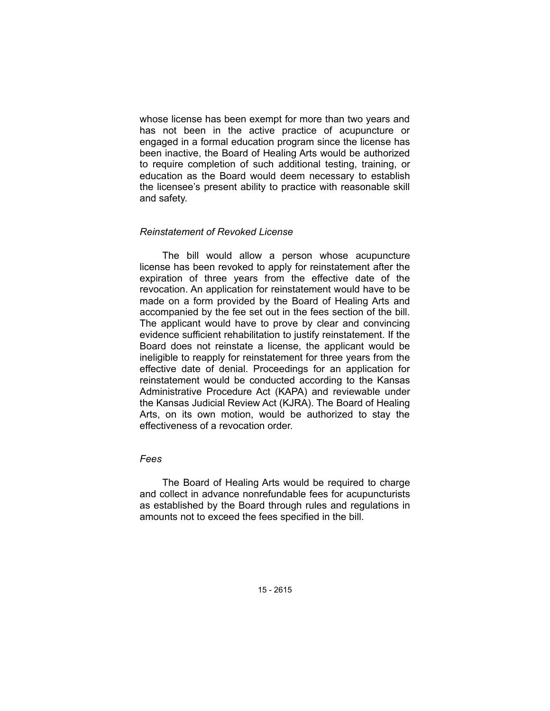whose license has been exempt for more than two years and has not been in the active practice of acupuncture or engaged in a formal education program since the license has been inactive, the Board of Healing Arts would be authorized to require completion of such additional testing, training, or education as the Board would deem necessary to establish the licensee's present ability to practice with reasonable skill and safety.

## *Reinstatement of Revoked License*

The bill would allow a person whose acupuncture license has been revoked to apply for reinstatement after the expiration of three years from the effective date of the revocation. An application for reinstatement would have to be made on a form provided by the Board of Healing Arts and accompanied by the fee set out in the fees section of the bill. The applicant would have to prove by clear and convincing evidence sufficient rehabilitation to justify reinstatement. If the Board does not reinstate a license, the applicant would be ineligible to reapply for reinstatement for three years from the effective date of denial. Proceedings for an application for reinstatement would be conducted according to the Kansas Administrative Procedure Act (KAPA) and reviewable under the Kansas Judicial Review Act (KJRA). The Board of Healing Arts, on its own motion, would be authorized to stay the effectiveness of a revocation order.

## *Fees*

The Board of Healing Arts would be required to charge and collect in advance nonrefundable fees for acupuncturists as established by the Board through rules and regulations in amounts not to exceed the fees specified in the bill.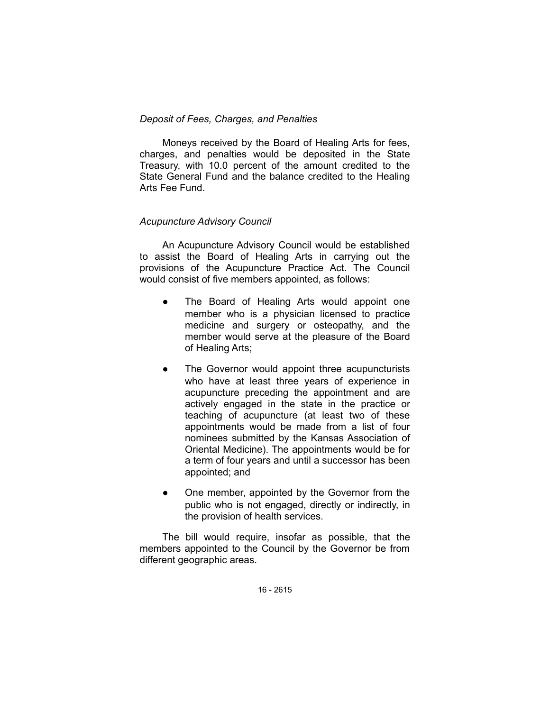## *Deposit of Fees, Charges, and Penalties*

Moneys received by the Board of Healing Arts for fees, charges, and penalties would be deposited in the State Treasury, with 10.0 percent of the amount credited to the State General Fund and the balance credited to the Healing Arts Fee Fund.

# *Acupuncture Advisory Council*

An Acupuncture Advisory Council would be established to assist the Board of Healing Arts in carrying out the provisions of the Acupuncture Practice Act. The Council would consist of five members appointed, as follows:

- The Board of Healing Arts would appoint one member who is a physician licensed to practice medicine and surgery or osteopathy, and the member would serve at the pleasure of the Board of Healing Arts;
- The Governor would appoint three acupuncturists who have at least three years of experience in acupuncture preceding the appointment and are actively engaged in the state in the practice or teaching of acupuncture (at least two of these appointments would be made from a list of four nominees submitted by the Kansas Association of Oriental Medicine). The appointments would be for a term of four years and until a successor has been appointed; and
- One member, appointed by the Governor from the public who is not engaged, directly or indirectly, in the provision of health services.

The bill would require, insofar as possible, that the members appointed to the Council by the Governor be from different geographic areas.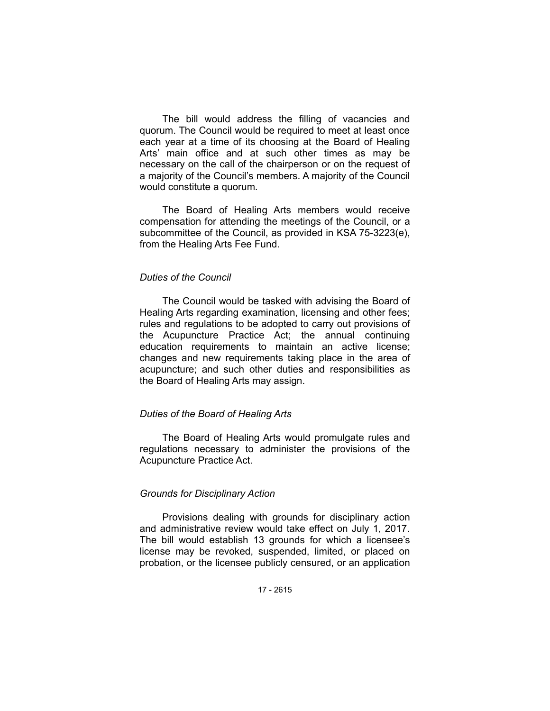The bill would address the filling of vacancies and quorum. The Council would be required to meet at least once each year at a time of its choosing at the Board of Healing Arts' main office and at such other times as may be necessary on the call of the chairperson or on the request of a majority of the Council's members. A majority of the Council would constitute a quorum.

The Board of Healing Arts members would receive compensation for attending the meetings of the Council, or a subcommittee of the Council, as provided in KSA 75-3223(e), from the Healing Arts Fee Fund.

### *Duties of the Council*

The Council would be tasked with advising the Board of Healing Arts regarding examination, licensing and other fees; rules and regulations to be adopted to carry out provisions of the Acupuncture Practice Act; the annual continuing education requirements to maintain an active license; changes and new requirements taking place in the area of acupuncture; and such other duties and responsibilities as the Board of Healing Arts may assign.

## *Duties of the Board of Healing Arts*

The Board of Healing Arts would promulgate rules and regulations necessary to administer the provisions of the Acupuncture Practice Act.

### *Grounds for Disciplinary Action*

Provisions dealing with grounds for disciplinary action and administrative review would take effect on July 1, 2017. The bill would establish 13 grounds for which a licensee's license may be revoked, suspended, limited, or placed on probation, or the licensee publicly censured, or an application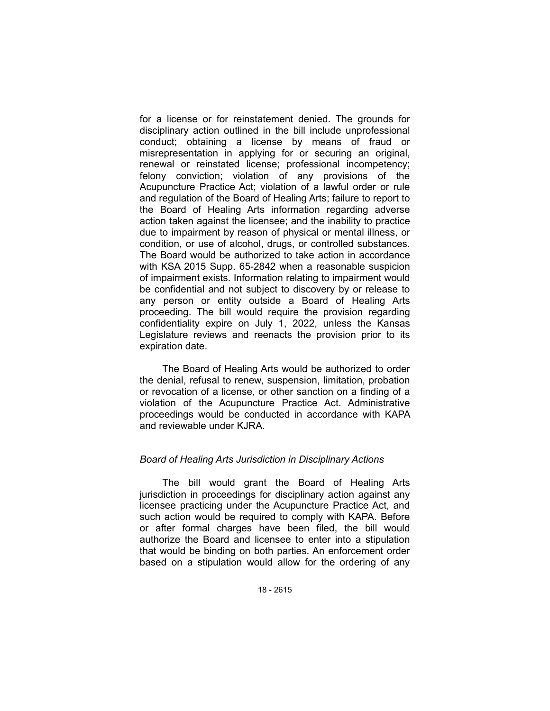for a license or for reinstatement denied. The grounds for disciplinary action outlined in the bill include unprofessional conduct; obtaining a license by means of fraud or misrepresentation in applying for or securing an original, renewal or reinstated license; professional incompetency; felony conviction; violation of any provisions of the Acupuncture Practice Act; violation of a lawful order or rule and regulation of the Board of Healing Arts; failure to report to the Board of Healing Arts information regarding adverse action taken against the licensee; and the inability to practice due to impairment by reason of physical or mental illness, or condition, or use of alcohol, drugs, or controlled substances. The Board would be authorized to take action in accordance with KSA 2015 Supp. 65-2842 when a reasonable suspicion of impairment exists. Information relating to impairment would be confidential and not subject to discovery by or release to any person or entity outside a Board of Healing Arts proceeding. The bill would require the provision regarding confidentiality expire on July 1, 2022, unless the Kansas Legislature reviews and reenacts the provision prior to its expiration date.

The Board of Healing Arts would be authorized to order the denial, refusal to renew, suspension, limitation, probation or revocation of a license, or other sanction on a finding of a violation of the Acupuncture Practice Act. Administrative proceedings would be conducted in accordance with KAPA and reviewable under KJRA.

## *Board of Healing Arts Jurisdiction in Disciplinary Actions*

The bill would grant the Board of Healing Arts jurisdiction in proceedings for disciplinary action against any licensee practicing under the Acupuncture Practice Act, and such action would be required to comply with KAPA. Before or after formal charges have been filed, the bill would authorize the Board and licensee to enter into a stipulation that would be binding on both parties. An enforcement order based on a stipulation would allow for the ordering of any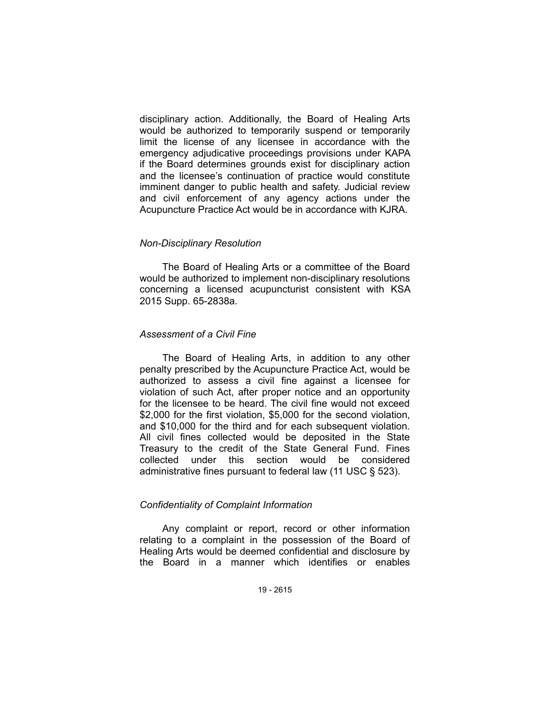disciplinary action. Additionally, the Board of Healing Arts would be authorized to temporarily suspend or temporarily limit the license of any licensee in accordance with the emergency adjudicative proceedings provisions under KAPA if the Board determines grounds exist for disciplinary action and the licensee's continuation of practice would constitute imminent danger to public health and safety. Judicial review and civil enforcement of any agency actions under the Acupuncture Practice Act would be in accordance with KJRA.

#### *Non-Disciplinary Resolution*

The Board of Healing Arts or a committee of the Board would be authorized to implement non-disciplinary resolutions concerning a licensed acupuncturist consistent with KSA 2015 Supp. 65-2838a.

### *Assessment of a Civil Fine*

The Board of Healing Arts, in addition to any other penalty prescribed by the Acupuncture Practice Act, would be authorized to assess a civil fine against a licensee for violation of such Act, after proper notice and an opportunity for the licensee to be heard. The civil fine would not exceed \$2,000 for the first violation, \$5,000 for the second violation, and \$10,000 for the third and for each subsequent violation. All civil fines collected would be deposited in the State Treasury to the credit of the State General Fund. Fines collected under this section would be considered administrative fines pursuant to federal law (11 USC § 523).

## *Confidentiality of Complaint Information*

Any complaint or report, record or other information relating to a complaint in the possession of the Board of Healing Arts would be deemed confidential and disclosure by the Board in a manner which identifies or enables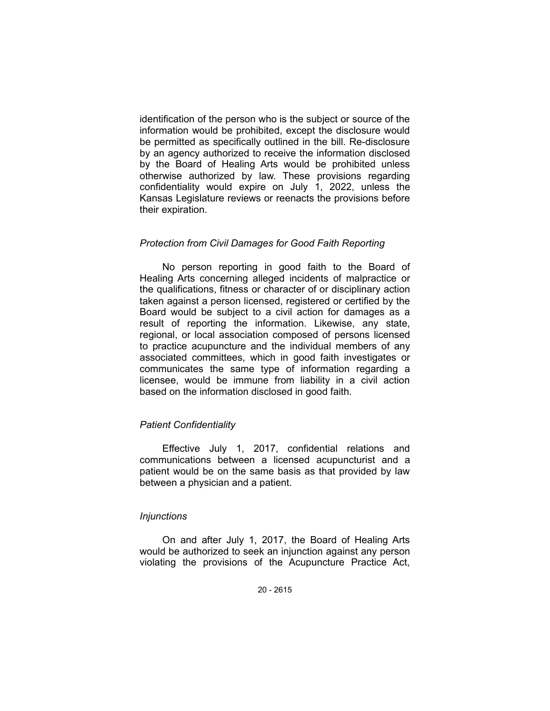identification of the person who is the subject or source of the information would be prohibited, except the disclosure would be permitted as specifically outlined in the bill. Re-disclosure by an agency authorized to receive the information disclosed by the Board of Healing Arts would be prohibited unless otherwise authorized by law. These provisions regarding confidentiality would expire on July 1, 2022, unless the Kansas Legislature reviews or reenacts the provisions before their expiration.

### *Protection from Civil Damages for Good Faith Reporting*

No person reporting in good faith to the Board of Healing Arts concerning alleged incidents of malpractice or the qualifications, fitness or character of or disciplinary action taken against a person licensed, registered or certified by the Board would be subject to a civil action for damages as a result of reporting the information. Likewise, any state, regional, or local association composed of persons licensed to practice acupuncture and the individual members of any associated committees, which in good faith investigates or communicates the same type of information regarding a licensee, would be immune from liability in a civil action based on the information disclosed in good faith.

## *Patient Confidentiality*

Effective July 1, 2017, confidential relations and communications between a licensed acupuncturist and a patient would be on the same basis as that provided by law between a physician and a patient.

#### *Injunctions*

On and after July 1, 2017, the Board of Healing Arts would be authorized to seek an injunction against any person violating the provisions of the Acupuncture Practice Act,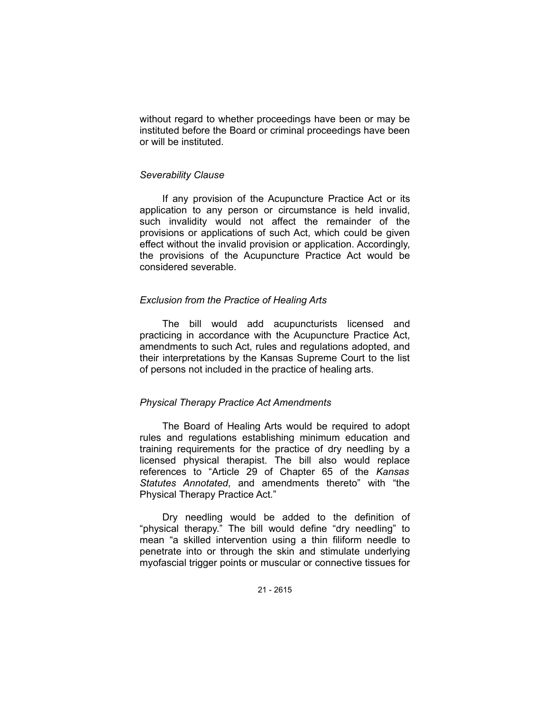without regard to whether proceedings have been or may be instituted before the Board or criminal proceedings have been or will be instituted.

### *Severability Clause*

If any provision of the Acupuncture Practice Act or its application to any person or circumstance is held invalid, such invalidity would not affect the remainder of the provisions or applications of such Act, which could be given effect without the invalid provision or application. Accordingly, the provisions of the Acupuncture Practice Act would be considered severable.

## *Exclusion from the Practice of Healing Arts*

The bill would add acupuncturists licensed and practicing in accordance with the Acupuncture Practice Act, amendments to such Act, rules and regulations adopted, and their interpretations by the Kansas Supreme Court to the list of persons not included in the practice of healing arts.

## *Physical Therapy Practice Act Amendments*

The Board of Healing Arts would be required to adopt rules and regulations establishing minimum education and training requirements for the practice of dry needling by a licensed physical therapist. The bill also would replace references to "Article 29 of Chapter 65 of the *Kansas Statutes Annotated*, and amendments thereto" with "the Physical Therapy Practice Act."

Dry needling would be added to the definition of "physical therapy." The bill would define "dry needling" to mean "a skilled intervention using a thin filiform needle to penetrate into or through the skin and stimulate underlying myofascial trigger points or muscular or connective tissues for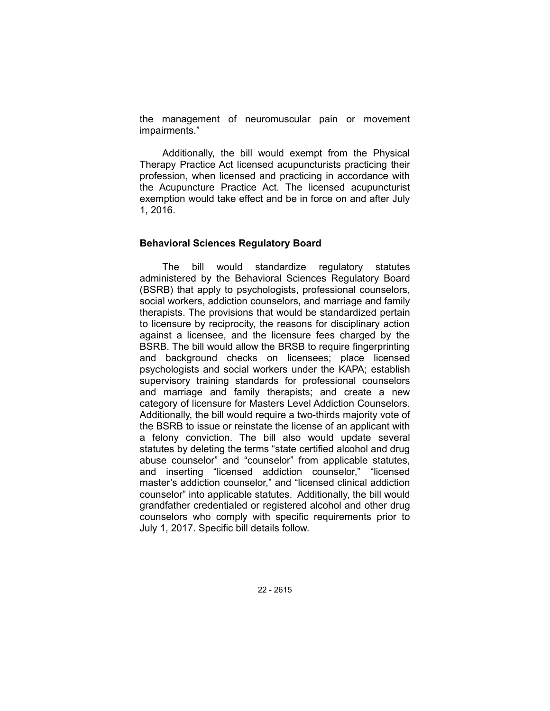the management of neuromuscular pain or movement impairments."

Additionally, the bill would exempt from the Physical Therapy Practice Act licensed acupuncturists practicing their profession, when licensed and practicing in accordance with the Acupuncture Practice Act. The licensed acupuncturist exemption would take effect and be in force on and after July 1, 2016.

### **Behavioral Sciences Regulatory Board**

The bill would standardize regulatory statutes administered by the Behavioral Sciences Regulatory Board (BSRB) that apply to psychologists, professional counselors, social workers, addiction counselors, and marriage and family therapists. The provisions that would be standardized pertain to licensure by reciprocity, the reasons for disciplinary action against a licensee, and the licensure fees charged by the BSRB. The bill would allow the BRSB to require fingerprinting and background checks on licensees; place licensed psychologists and social workers under the KAPA; establish supervisory training standards for professional counselors and marriage and family therapists; and create a new category of licensure for Masters Level Addiction Counselors. Additionally, the bill would require a two-thirds majority vote of the BSRB to issue or reinstate the license of an applicant with a felony conviction. The bill also would update several statutes by deleting the terms "state certified alcohol and drug abuse counselor" and "counselor" from applicable statutes, and inserting "licensed addiction counselor," "licensed master's addiction counselor," and "licensed clinical addiction counselor" into applicable statutes. Additionally, the bill would grandfather credentialed or registered alcohol and other drug counselors who comply with specific requirements prior to July 1, 2017. Specific bill details follow.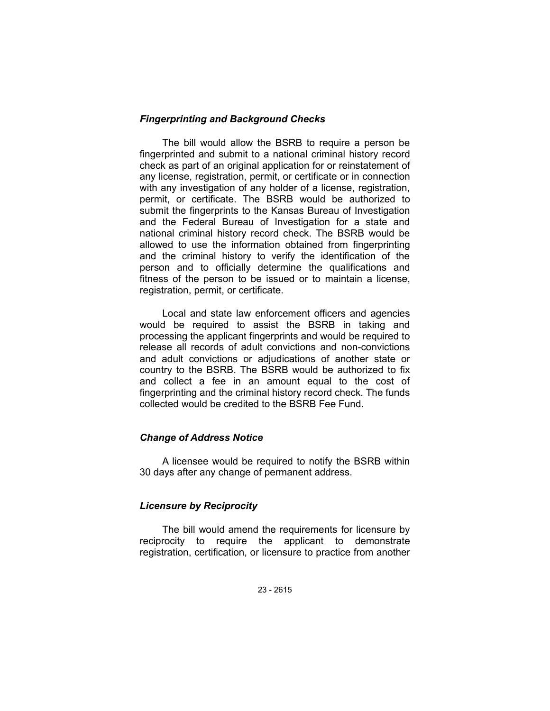## *Fingerprinting and Background Checks*

The bill would allow the BSRB to require a person be fingerprinted and submit to a national criminal history record check as part of an original application for or reinstatement of any license, registration, permit, or certificate or in connection with any investigation of any holder of a license, registration, permit, or certificate. The BSRB would be authorized to submit the fingerprints to the Kansas Bureau of Investigation and the Federal Bureau of Investigation for a state and national criminal history record check. The BSRB would be allowed to use the information obtained from fingerprinting and the criminal history to verify the identification of the person and to officially determine the qualifications and fitness of the person to be issued or to maintain a license, registration, permit, or certificate.

Local and state law enforcement officers and agencies would be required to assist the BSRB in taking and processing the applicant fingerprints and would be required to release all records of adult convictions and non-convictions and adult convictions or adjudications of another state or country to the BSRB. The BSRB would be authorized to fix and collect a fee in an amount equal to the cost of fingerprinting and the criminal history record check. The funds collected would be credited to the BSRB Fee Fund.

## *Change of Address Notice*

A licensee would be required to notify the BSRB within 30 days after any change of permanent address.

# *Licensure by Reciprocity*

The bill would amend the requirements for licensure by reciprocity to require the applicant to demonstrate registration, certification, or licensure to practice from another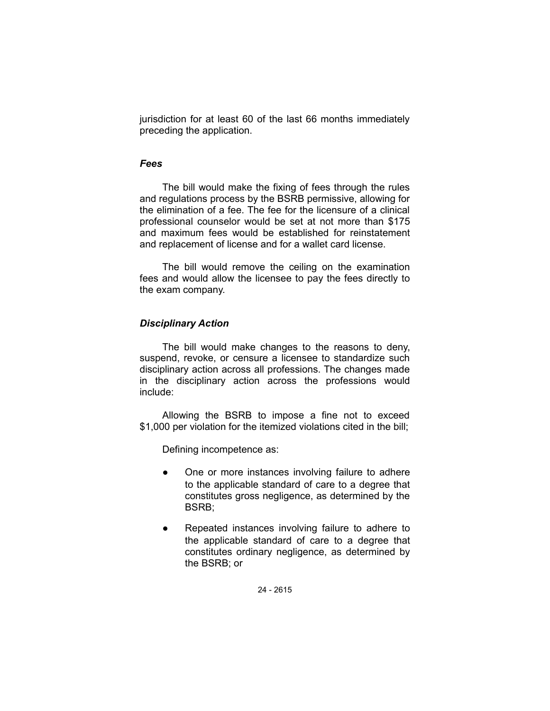jurisdiction for at least 60 of the last 66 months immediately preceding the application.

## *Fees*

The bill would make the fixing of fees through the rules and regulations process by the BSRB permissive, allowing for the elimination of a fee. The fee for the licensure of a clinical professional counselor would be set at not more than \$175 and maximum fees would be established for reinstatement and replacement of license and for a wallet card license.

The bill would remove the ceiling on the examination fees and would allow the licensee to pay the fees directly to the exam company.

## *Disciplinary Action*

The bill would make changes to the reasons to deny, suspend, revoke, or censure a licensee to standardize such disciplinary action across all professions. The changes made in the disciplinary action across the professions would include:

Allowing the BSRB to impose a fine not to exceed \$1,000 per violation for the itemized violations cited in the bill;

Defining incompetence as:

- One or more instances involving failure to adhere to the applicable standard of care to a degree that constitutes gross negligence, as determined by the BSRB;
- Repeated instances involving failure to adhere to the applicable standard of care to a degree that constitutes ordinary negligence, as determined by the BSRB; or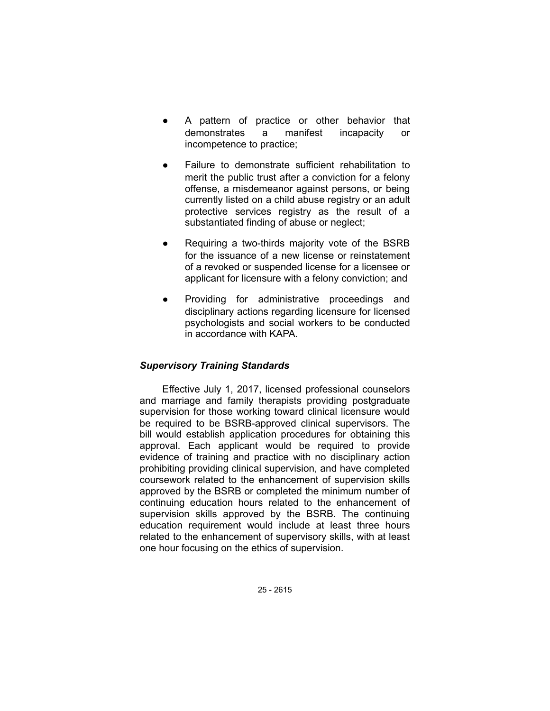- A pattern of practice or other behavior that demonstrates a manifest incapacity or incompetence to practice;
- Failure to demonstrate sufficient rehabilitation to merit the public trust after a conviction for a felony offense, a misdemeanor against persons, or being currently listed on a child abuse registry or an adult protective services registry as the result of a substantiated finding of abuse or neglect;
- Requiring a two-thirds majority vote of the BSRB for the issuance of a new license or reinstatement of a revoked or suspended license for a licensee or applicant for licensure with a felony conviction; and
- Providing for administrative proceedings and disciplinary actions regarding licensure for licensed psychologists and social workers to be conducted in accordance with KAPA.

# *Supervisory Training Standards*

Effective July 1, 2017, licensed professional counselors and marriage and family therapists providing postgraduate supervision for those working toward clinical licensure would be required to be BSRB-approved clinical supervisors. The bill would establish application procedures for obtaining this approval. Each applicant would be required to provide evidence of training and practice with no disciplinary action prohibiting providing clinical supervision, and have completed coursework related to the enhancement of supervision skills approved by the BSRB or completed the minimum number of continuing education hours related to the enhancement of supervision skills approved by the BSRB. The continuing education requirement would include at least three hours related to the enhancement of supervisory skills, with at least one hour focusing on the ethics of supervision.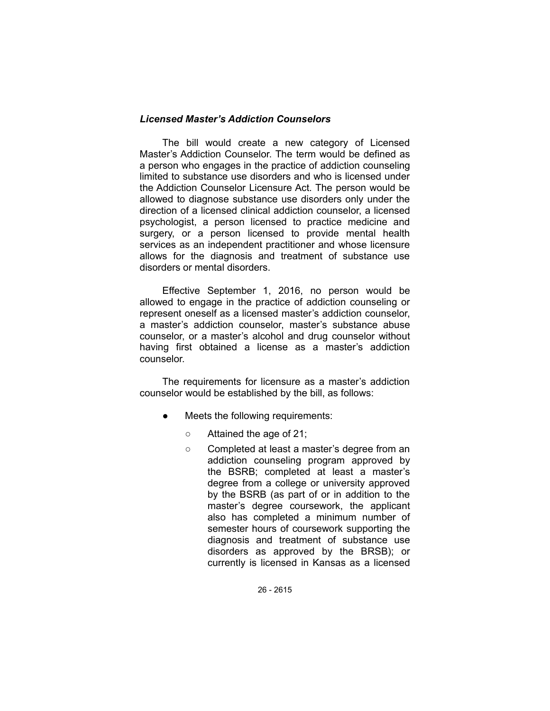## *Licensed Master's Addiction Counselors*

The bill would create a new category of Licensed Master's Addiction Counselor. The term would be defined as a person who engages in the practice of addiction counseling limited to substance use disorders and who is licensed under the Addiction Counselor Licensure Act. The person would be allowed to diagnose substance use disorders only under the direction of a licensed clinical addiction counselor, a licensed psychologist, a person licensed to practice medicine and surgery, or a person licensed to provide mental health services as an independent practitioner and whose licensure allows for the diagnosis and treatment of substance use disorders or mental disorders.

Effective September 1, 2016, no person would be allowed to engage in the practice of addiction counseling or represent oneself as a licensed master's addiction counselor, a master's addiction counselor, master's substance abuse counselor, or a master's alcohol and drug counselor without having first obtained a license as a master's addiction counselor.

The requirements for licensure as a master's addiction counselor would be established by the bill, as follows:

- Meets the following requirements:
	- Attained the age of 21;
	- Completed at least a master's degree from an addiction counseling program approved by the BSRB; completed at least a master's degree from a college or university approved by the BSRB (as part of or in addition to the master's degree coursework, the applicant also has completed a minimum number of semester hours of coursework supporting the diagnosis and treatment of substance use disorders as approved by the BRSB); or currently is licensed in Kansas as a licensed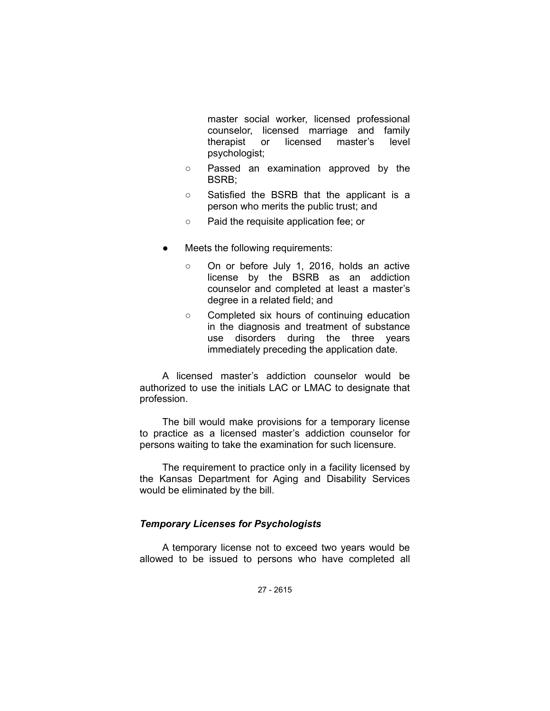master social worker, licensed professional counselor, licensed marriage and family therapist or licensed master's level psychologist;

- Passed an examination approved by the BSRB;
- Satisfied the BSRB that the applicant is a person who merits the public trust; and
- Paid the requisite application fee; or
- Meets the following requirements:
	- On or before July 1, 2016, holds an active license by the BSRB as an addiction counselor and completed at least a master's degree in a related field; and
	- Completed six hours of continuing education in the diagnosis and treatment of substance use disorders during the three years immediately preceding the application date.

A licensed master's addiction counselor would be authorized to use the initials LAC or LMAC to designate that profession.

The bill would make provisions for a temporary license to practice as a licensed master's addiction counselor for persons waiting to take the examination for such licensure.

The requirement to practice only in a facility licensed by the Kansas Department for Aging and Disability Services would be eliminated by the bill.

## *Temporary Licenses for Psychologists*

A temporary license not to exceed two years would be allowed to be issued to persons who have completed all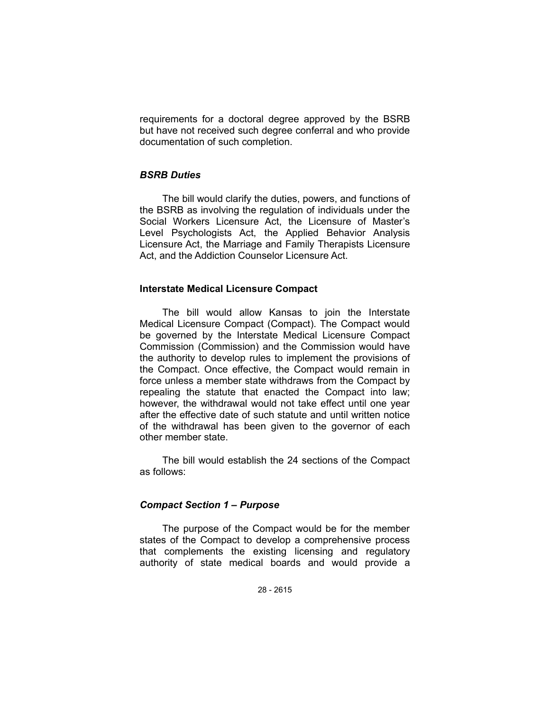requirements for a doctoral degree approved by the BSRB but have not received such degree conferral and who provide documentation of such completion.

## *BSRB Duties*

The bill would clarify the duties, powers, and functions of the BSRB as involving the regulation of individuals under the Social Workers Licensure Act, the Licensure of Master's Level Psychologists Act, the Applied Behavior Analysis Licensure Act, the Marriage and Family Therapists Licensure Act, and the Addiction Counselor Licensure Act.

### **Interstate Medical Licensure Compact**

The bill would allow Kansas to join the Interstate Medical Licensure Compact (Compact). The Compact would be governed by the Interstate Medical Licensure Compact Commission (Commission) and the Commission would have the authority to develop rules to implement the provisions of the Compact. Once effective, the Compact would remain in force unless a member state withdraws from the Compact by repealing the statute that enacted the Compact into law; however, the withdrawal would not take effect until one year after the effective date of such statute and until written notice of the withdrawal has been given to the governor of each other member state.

The bill would establish the 24 sections of the Compact as follows:

## *Compact Section 1 – Purpose*

The purpose of the Compact would be for the member states of the Compact to develop a comprehensive process that complements the existing licensing and regulatory authority of state medical boards and would provide a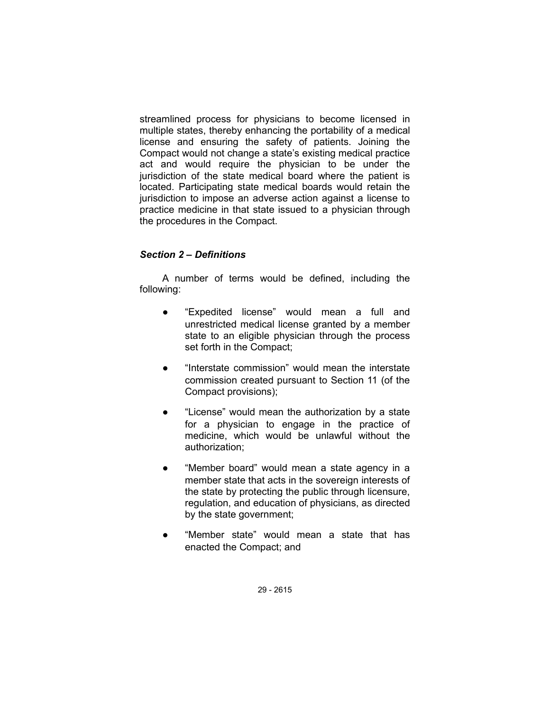streamlined process for physicians to become licensed in multiple states, thereby enhancing the portability of a medical license and ensuring the safety of patients. Joining the Compact would not change a state's existing medical practice act and would require the physician to be under the jurisdiction of the state medical board where the patient is located. Participating state medical boards would retain the jurisdiction to impose an adverse action against a license to practice medicine in that state issued to a physician through the procedures in the Compact.

## *Section 2 – Definitions*

A number of terms would be defined, including the following:

- "Expedited license" would mean a full and unrestricted medical license granted by a member state to an eligible physician through the process set forth in the Compact;
- "Interstate commission" would mean the interstate commission created pursuant to Section 11 (of the Compact provisions);
- "License" would mean the authorization by a state for a physician to engage in the practice of medicine, which would be unlawful without the authorization;
- "Member board" would mean a state agency in a member state that acts in the sovereign interests of the state by protecting the public through licensure, regulation, and education of physicians, as directed by the state government;
- "Member state" would mean a state that has enacted the Compact; and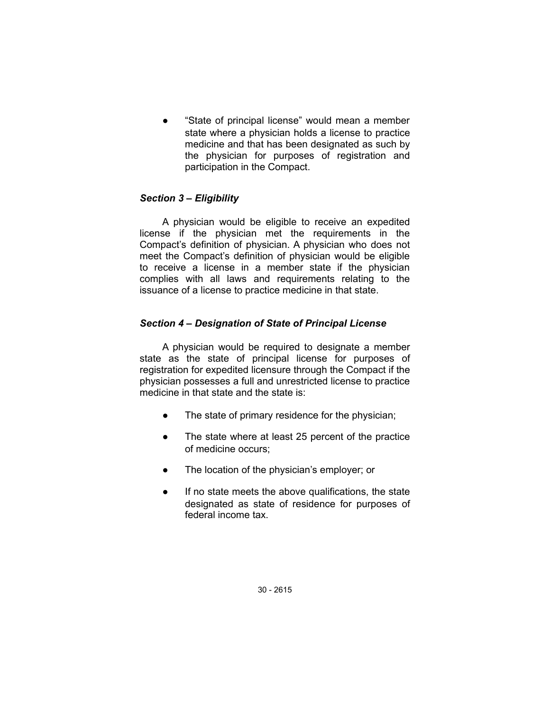"State of principal license" would mean a member state where a physician holds a license to practice medicine and that has been designated as such by the physician for purposes of registration and participation in the Compact.

# *Section 3 – Eligibility*

A physician would be eligible to receive an expedited license if the physician met the requirements in the Compact's definition of physician. A physician who does not meet the Compact's definition of physician would be eligible to receive a license in a member state if the physician complies with all laws and requirements relating to the issuance of a license to practice medicine in that state.

## *Section 4 – Designation of State of Principal License*

A physician would be required to designate a member state as the state of principal license for purposes of registration for expedited licensure through the Compact if the physician possesses a full and unrestricted license to practice medicine in that state and the state is:

- The state of primary residence for the physician;
- The state where at least 25 percent of the practice of medicine occurs;
- The location of the physician's employer; or
- If no state meets the above qualifications, the state designated as state of residence for purposes of federal income tax.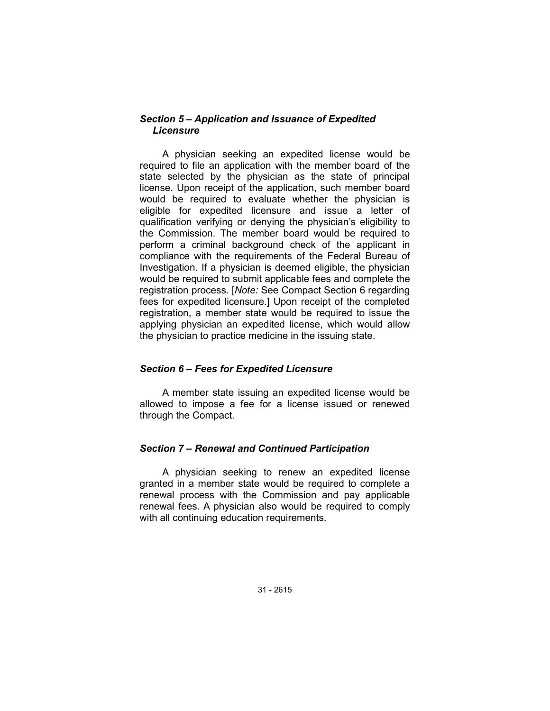## *Section 5 – Application and Issuance of Expedited Licensure*

A physician seeking an expedited license would be required to file an application with the member board of the state selected by the physician as the state of principal license. Upon receipt of the application, such member board would be required to evaluate whether the physician is eligible for expedited licensure and issue a letter of qualification verifying or denying the physician's eligibility to the Commission. The member board would be required to perform a criminal background check of the applicant in compliance with the requirements of the Federal Bureau of Investigation. If a physician is deemed eligible, the physician would be required to submit applicable fees and complete the registration process. [*Note:* See Compact Section 6 regarding fees for expedited licensure.] Upon receipt of the completed registration, a member state would be required to issue the applying physician an expedited license, which would allow the physician to practice medicine in the issuing state.

## *Section 6 – Fees for Expedited Licensure*

A member state issuing an expedited license would be allowed to impose a fee for a license issued or renewed through the Compact.

## *Section 7 – Renewal and Continued Participation*

A physician seeking to renew an expedited license granted in a member state would be required to complete a renewal process with the Commission and pay applicable renewal fees. A physician also would be required to comply with all continuing education requirements.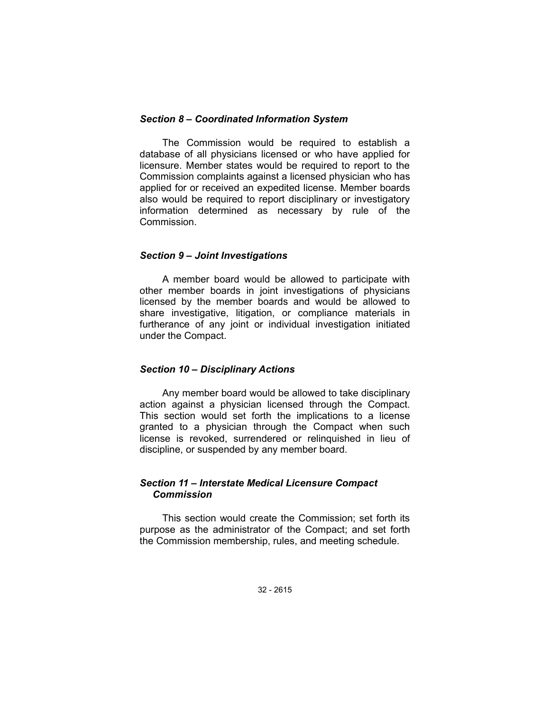### *Section 8 – Coordinated Information System*

The Commission would be required to establish a database of all physicians licensed or who have applied for licensure. Member states would be required to report to the Commission complaints against a licensed physician who has applied for or received an expedited license. Member boards also would be required to report disciplinary or investigatory information determined as necessary by rule of the Commission.

#### *Section 9 – Joint Investigations*

A member board would be allowed to participate with other member boards in joint investigations of physicians licensed by the member boards and would be allowed to share investigative, litigation, or compliance materials in furtherance of any joint or individual investigation initiated under the Compact.

## *Section 10 – Disciplinary Actions*

Any member board would be allowed to take disciplinary action against a physician licensed through the Compact. This section would set forth the implications to a license granted to a physician through the Compact when such license is revoked, surrendered or relinquished in lieu of discipline, or suspended by any member board.

### *Section 11 – Interstate Medical Licensure Compact Commission*

This section would create the Commission; set forth its purpose as the administrator of the Compact; and set forth the Commission membership, rules, and meeting schedule.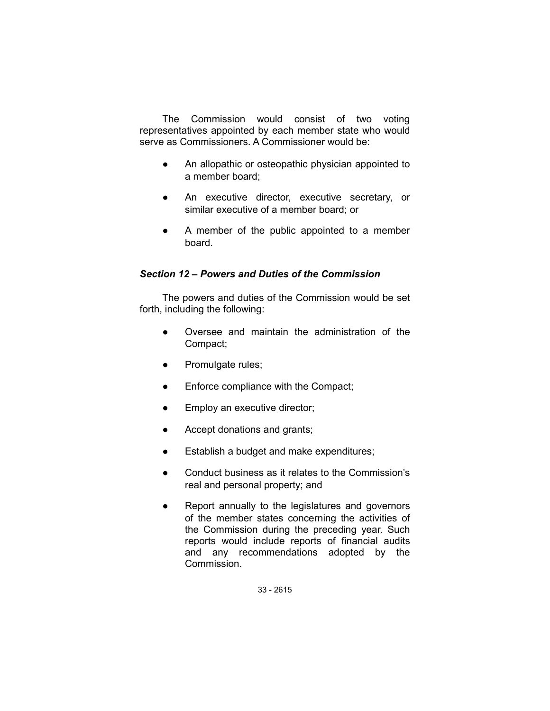The Commission would consist of two voting representatives appointed by each member state who would serve as Commissioners. A Commissioner would be:

- An allopathic or osteopathic physician appointed to a member board;
- An executive director, executive secretary, or similar executive of a member board; or
- A member of the public appointed to a member board.

# *Section 12 – Powers and Duties of the Commission*

The powers and duties of the Commission would be set forth, including the following:

- Oversee and maintain the administration of the Compact;
- Promulgate rules;
- Enforce compliance with the Compact;
- Employ an executive director;
- Accept donations and grants;
- Establish a budget and make expenditures;
- Conduct business as it relates to the Commission's real and personal property; and
- Report annually to the legislatures and governors of the member states concerning the activities of the Commission during the preceding year. Such reports would include reports of financial audits and any recommendations adopted by the Commission.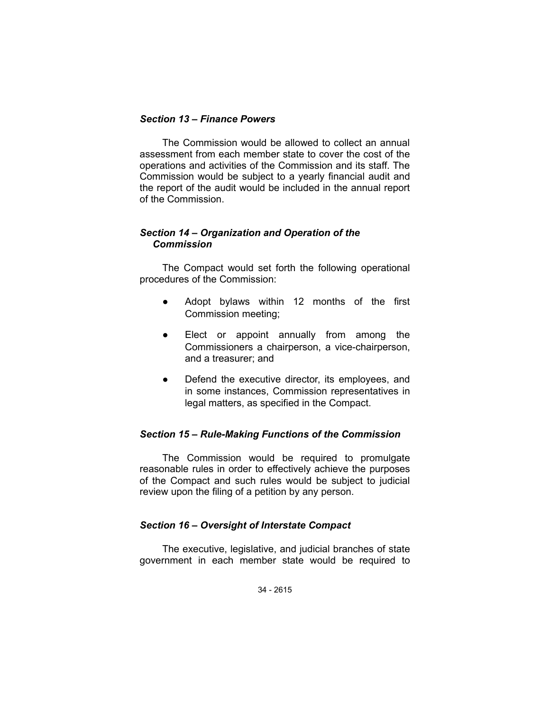## *Section 13 – Finance Powers*

The Commission would be allowed to collect an annual assessment from each member state to cover the cost of the operations and activities of the Commission and its staff. The Commission would be subject to a yearly financial audit and the report of the audit would be included in the annual report of the Commission.

# *Section 14 – Organization and Operation of the Commission*

The Compact would set forth the following operational procedures of the Commission:

- Adopt bylaws within 12 months of the first Commission meeting;
- Elect or appoint annually from among the Commissioners a chairperson, a vice-chairperson, and a treasurer; and
- Defend the executive director, its employees, and in some instances, Commission representatives in legal matters, as specified in the Compact.

# *Section 15 – Rule-Making Functions of the Commission*

The Commission would be required to promulgate reasonable rules in order to effectively achieve the purposes of the Compact and such rules would be subject to judicial review upon the filing of a petition by any person.

# *Section 16 – Oversight of Interstate Compact*

The executive, legislative, and judicial branches of state government in each member state would be required to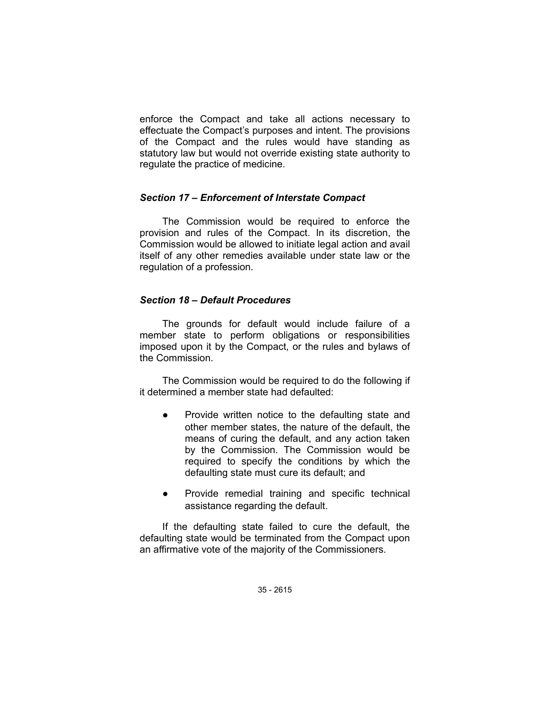enforce the Compact and take all actions necessary to effectuate the Compact's purposes and intent. The provisions of the Compact and the rules would have standing as statutory law but would not override existing state authority to regulate the practice of medicine.

## *Section 17 – Enforcement of Interstate Compact*

The Commission would be required to enforce the provision and rules of the Compact. In its discretion, the Commission would be allowed to initiate legal action and avail itself of any other remedies available under state law or the regulation of a profession.

## *Section 18 – Default Procedures*

The grounds for default would include failure of a member state to perform obligations or responsibilities imposed upon it by the Compact, or the rules and bylaws of the Commission.

The Commission would be required to do the following if it determined a member state had defaulted:

- Provide written notice to the defaulting state and other member states, the nature of the default, the means of curing the default, and any action taken by the Commission. The Commission would be required to specify the conditions by which the defaulting state must cure its default; and
- Provide remedial training and specific technical assistance regarding the default.

If the defaulting state failed to cure the default, the defaulting state would be terminated from the Compact upon an affirmative vote of the majority of the Commissioners.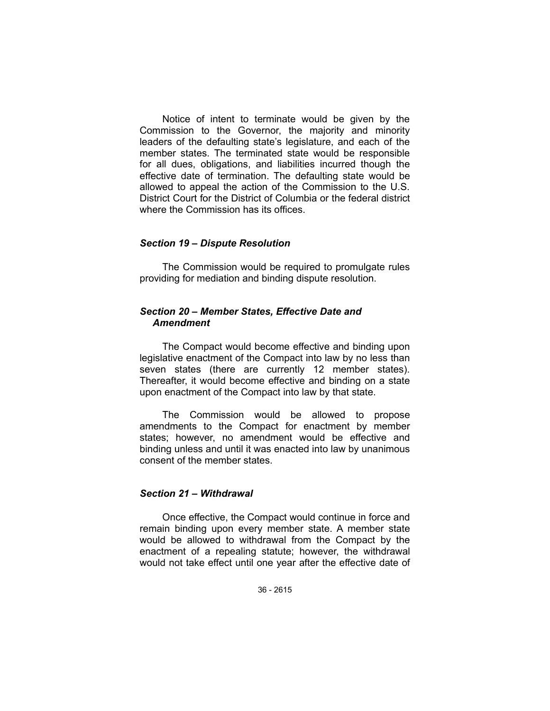Notice of intent to terminate would be given by the Commission to the Governor, the majority and minority leaders of the defaulting state's legislature, and each of the member states. The terminated state would be responsible for all dues, obligations, and liabilities incurred though the effective date of termination. The defaulting state would be allowed to appeal the action of the Commission to the U.S. District Court for the District of Columbia or the federal district where the Commission has its offices.

### *Section 19 – Dispute Resolution*

The Commission would be required to promulgate rules providing for mediation and binding dispute resolution.

## *Section 20 – Member States, Effective Date and Amendment*

The Compact would become effective and binding upon legislative enactment of the Compact into law by no less than seven states (there are currently 12 member states). Thereafter, it would become effective and binding on a state upon enactment of the Compact into law by that state.

The Commission would be allowed to propose amendments to the Compact for enactment by member states; however, no amendment would be effective and binding unless and until it was enacted into law by unanimous consent of the member states.

## *Section 21 – Withdrawal*

Once effective, the Compact would continue in force and remain binding upon every member state. A member state would be allowed to withdrawal from the Compact by the enactment of a repealing statute; however, the withdrawal would not take effect until one year after the effective date of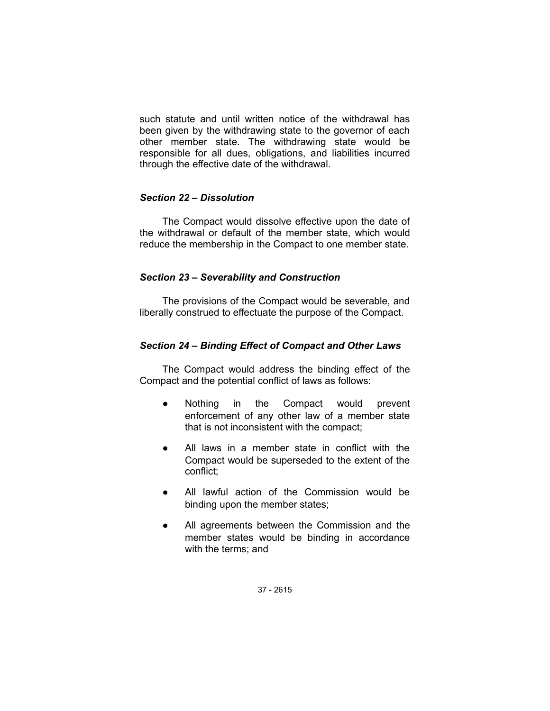such statute and until written notice of the withdrawal has been given by the withdrawing state to the governor of each other member state. The withdrawing state would be responsible for all dues, obligations, and liabilities incurred through the effective date of the withdrawal.

## *Section 22 – Dissolution*

The Compact would dissolve effective upon the date of the withdrawal or default of the member state, which would reduce the membership in the Compact to one member state.

## *Section 23 – Severability and Construction*

The provisions of the Compact would be severable, and liberally construed to effectuate the purpose of the Compact.

# *Section 24 – Binding Effect of Compact and Other Laws*

The Compact would address the binding effect of the Compact and the potential conflict of laws as follows:

- Nothing in the Compact would prevent enforcement of any other law of a member state that is not inconsistent with the compact;
- All laws in a member state in conflict with the Compact would be superseded to the extent of the conflict;
- All lawful action of the Commission would be binding upon the member states;
- All agreements between the Commission and the member states would be binding in accordance with the terms; and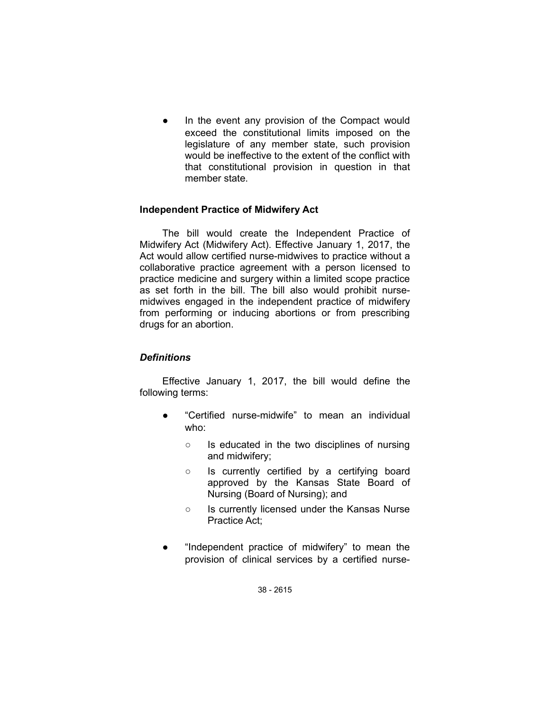In the event any provision of the Compact would exceed the constitutional limits imposed on the legislature of any member state, such provision would be ineffective to the extent of the conflict with that constitutional provision in question in that member state.

# **Independent Practice of Midwifery Act**

The bill would create the Independent Practice of Midwifery Act (Midwifery Act). Effective January 1, 2017, the Act would allow certified nurse-midwives to practice without a collaborative practice agreement with a person licensed to practice medicine and surgery within a limited scope practice as set forth in the bill. The bill also would prohibit nursemidwives engaged in the independent practice of midwifery from performing or inducing abortions or from prescribing drugs for an abortion.

## *Definitions*

Effective January 1, 2017, the bill would define the following terms:

- "Certified nurse-midwife" to mean an individual who:
	- Is educated in the two disciplines of nursing and midwifery;
	- Is currently certified by a certifying board approved by the Kansas State Board of Nursing (Board of Nursing); and
	- Is currently licensed under the Kansas Nurse Practice Act;
- "Independent practice of midwifery" to mean the provision of clinical services by a certified nurse-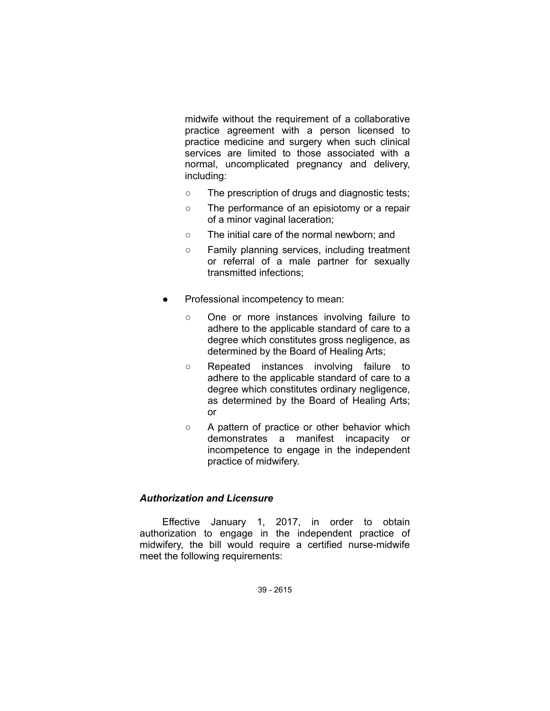midwife without the requirement of a collaborative practice agreement with a person licensed to practice medicine and surgery when such clinical services are limited to those associated with a normal, uncomplicated pregnancy and delivery, including:

- The prescription of drugs and diagnostic tests;
- The performance of an episiotomy or a repair of a minor vaginal laceration;
- The initial care of the normal newborn; and
- Family planning services, including treatment or referral of a male partner for sexually transmitted infections;
- Professional incompetency to mean:
	- One or more instances involving failure to adhere to the applicable standard of care to a degree which constitutes gross negligence, as determined by the Board of Healing Arts;
	- Repeated instances involving failure to adhere to the applicable standard of care to a degree which constitutes ordinary negligence, as determined by the Board of Healing Arts; or
	- A pattern of practice or other behavior which demonstrates a manifest incapacity or incompetence to engage in the independent practice of midwifery.

## *Authorization and Licensure*

Effective January 1, 2017, in order to obtain authorization to engage in the independent practice of midwifery, the bill would require a certified nurse-midwife meet the following requirements: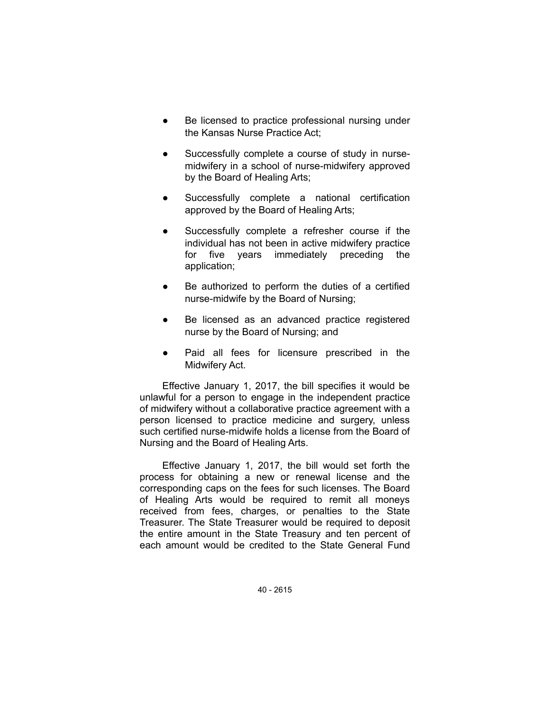- Be licensed to practice professional nursing under the Kansas Nurse Practice Act;
- Successfully complete a course of study in nursemidwifery in a school of nurse-midwifery approved by the Board of Healing Arts;
- Successfully complete a national certification approved by the Board of Healing Arts;
- Successfully complete a refresher course if the individual has not been in active midwifery practice for five years immediately preceding the application;
- Be authorized to perform the duties of a certified nurse-midwife by the Board of Nursing;
- Be licensed as an advanced practice registered nurse by the Board of Nursing; and
- Paid all fees for licensure prescribed in the Midwifery Act.

Effective January 1, 2017, the bill specifies it would be unlawful for a person to engage in the independent practice of midwifery without a collaborative practice agreement with a person licensed to practice medicine and surgery, unless such certified nurse-midwife holds a license from the Board of Nursing and the Board of Healing Arts.

Effective January 1, 2017, the bill would set forth the process for obtaining a new or renewal license and the corresponding caps on the fees for such licenses. The Board of Healing Arts would be required to remit all moneys received from fees, charges, or penalties to the State Treasurer. The State Treasurer would be required to deposit the entire amount in the State Treasury and ten percent of each amount would be credited to the State General Fund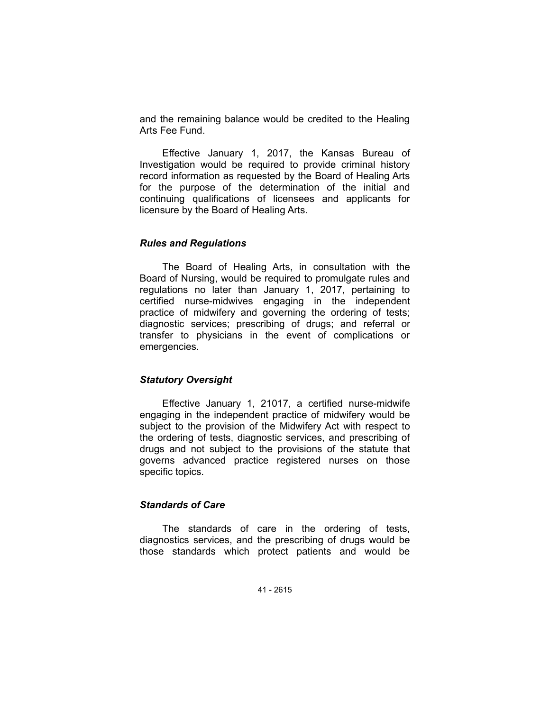and the remaining balance would be credited to the Healing Arts Fee Fund.

Effective January 1, 2017, the Kansas Bureau of Investigation would be required to provide criminal history record information as requested by the Board of Healing Arts for the purpose of the determination of the initial and continuing qualifications of licensees and applicants for licensure by the Board of Healing Arts.

### *Rules and Regulations*

The Board of Healing Arts, in consultation with the Board of Nursing, would be required to promulgate rules and regulations no later than January 1, 2017, pertaining to certified nurse-midwives engaging in the independent practice of midwifery and governing the ordering of tests; diagnostic services; prescribing of drugs; and referral or transfer to physicians in the event of complications or emergencies.

## *Statutory Oversight*

Effective January 1, 21017, a certified nurse-midwife engaging in the independent practice of midwifery would be subject to the provision of the Midwifery Act with respect to the ordering of tests, diagnostic services, and prescribing of drugs and not subject to the provisions of the statute that governs advanced practice registered nurses on those specific topics.

### *Standards of Care*

The standards of care in the ordering of tests, diagnostics services, and the prescribing of drugs would be those standards which protect patients and would be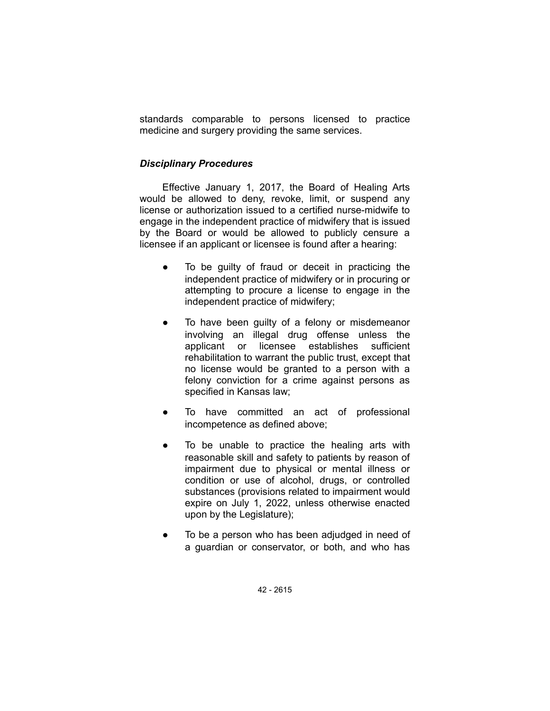standards comparable to persons licensed to practice medicine and surgery providing the same services.

## *Disciplinary Procedures*

Effective January 1, 2017, the Board of Healing Arts would be allowed to deny, revoke, limit, or suspend any license or authorization issued to a certified nurse-midwife to engage in the independent practice of midwifery that is issued by the Board or would be allowed to publicly censure a licensee if an applicant or licensee is found after a hearing:

- To be guilty of fraud or deceit in practicing the independent practice of midwifery or in procuring or attempting to procure a license to engage in the independent practice of midwifery;
- To have been guilty of a felony or misdemeanor involving an illegal drug offense unless the applicant or licensee establishes sufficient rehabilitation to warrant the public trust, except that no license would be granted to a person with a felony conviction for a crime against persons as specified in Kansas law;
- To have committed an act of professional incompetence as defined above;
- To be unable to practice the healing arts with reasonable skill and safety to patients by reason of impairment due to physical or mental illness or condition or use of alcohol, drugs, or controlled substances (provisions related to impairment would expire on July 1, 2022, unless otherwise enacted upon by the Legislature);
- To be a person who has been adjudged in need of a guardian or conservator, or both, and who has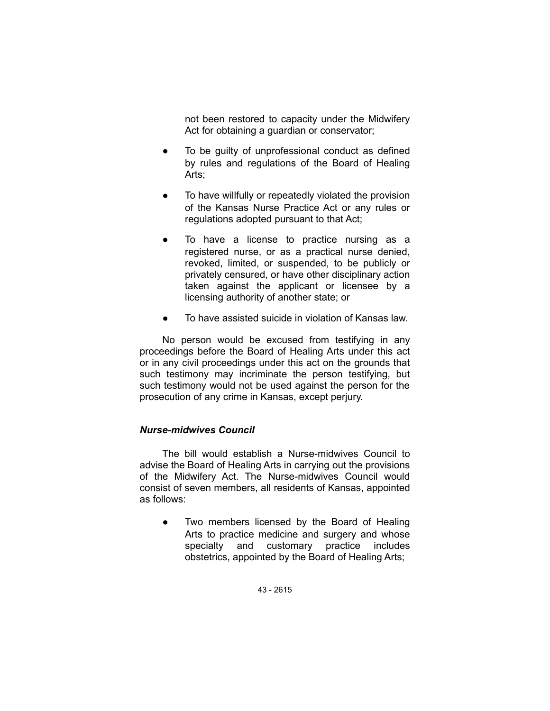not been restored to capacity under the Midwifery Act for obtaining a guardian or conservator;

- To be guilty of unprofessional conduct as defined by rules and regulations of the Board of Healing Arts;
- To have willfully or repeatedly violated the provision of the Kansas Nurse Practice Act or any rules or regulations adopted pursuant to that Act;
- To have a license to practice nursing as a registered nurse, or as a practical nurse denied, revoked, limited, or suspended, to be publicly or privately censured, or have other disciplinary action taken against the applicant or licensee by a licensing authority of another state; or
- To have assisted suicide in violation of Kansas law.

No person would be excused from testifying in any proceedings before the Board of Healing Arts under this act or in any civil proceedings under this act on the grounds that such testimony may incriminate the person testifying, but such testimony would not be used against the person for the prosecution of any crime in Kansas, except perjury.

## *Nurse-midwives Council*

The bill would establish a Nurse-midwives Council to advise the Board of Healing Arts in carrying out the provisions of the Midwifery Act. The Nurse-midwives Council would consist of seven members, all residents of Kansas, appointed as follows:

Two members licensed by the Board of Healing Arts to practice medicine and surgery and whose specialty and customary practice includes obstetrics, appointed by the Board of Healing Arts;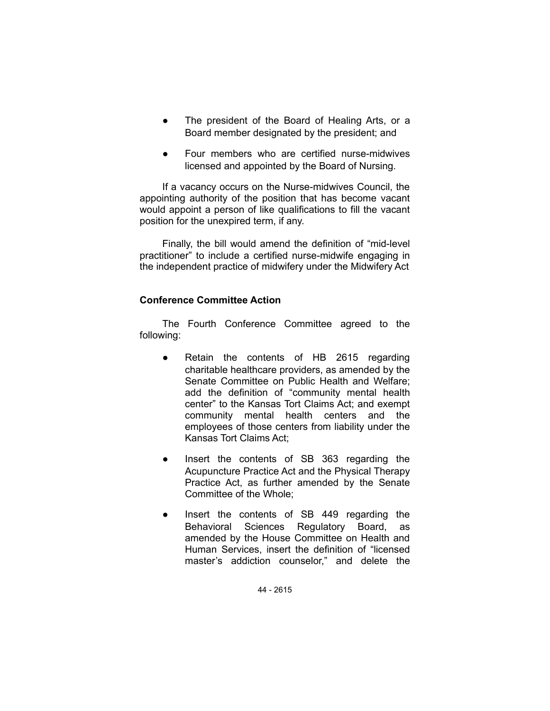- The president of the Board of Healing Arts, or a Board member designated by the president; and
- Four members who are certified nurse-midwives licensed and appointed by the Board of Nursing.

If a vacancy occurs on the Nurse-midwives Council, the appointing authority of the position that has become vacant would appoint a person of like qualifications to fill the vacant position for the unexpired term, if any.

Finally, the bill would amend the definition of "mid-level practitioner" to include a certified nurse-midwife engaging in the independent practice of midwifery under the Midwifery Act

## **Conference Committee Action**

The Fourth Conference Committee agreed to the following:

- Retain the contents of HB 2615 regarding charitable healthcare providers, as amended by the Senate Committee on Public Health and Welfare; add the definition of "community mental health center" to the Kansas Tort Claims Act; and exempt community mental health centers and the employees of those centers from liability under the Kansas Tort Claims Act;
- Insert the contents of SB 363 regarding the Acupuncture Practice Act and the Physical Therapy Practice Act, as further amended by the Senate Committee of the Whole;
- Insert the contents of SB 449 regarding the Behavioral Sciences Regulatory Board, as amended by the House Committee on Health and Human Services, insert the definition of "licensed master's addiction counselor," and delete the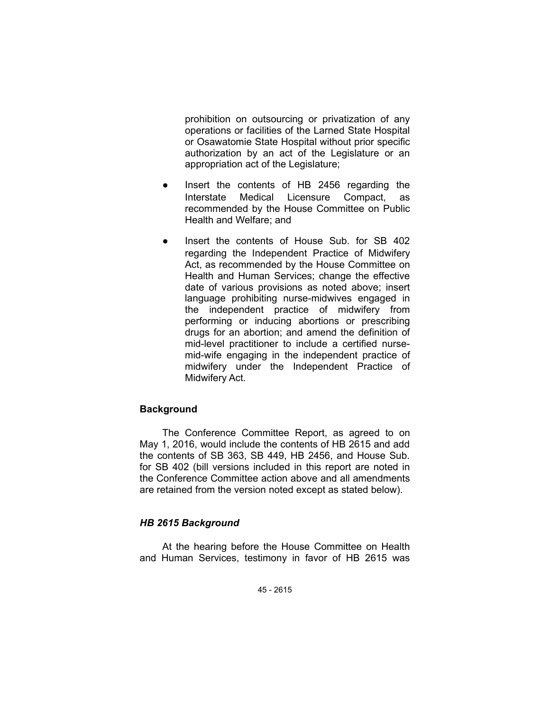prohibition on outsourcing or privatization of any operations or facilities of the Larned State Hospital or Osawatomie State Hospital without prior specific authorization by an act of the Legislature or an appropriation act of the Legislature;

- Insert the contents of HB 2456 regarding the Interstate Medical Licensure Compact, as recommended by the House Committee on Public Health and Welfare; and
- Insert the contents of House Sub. for SB 402 regarding the Independent Practice of Midwifery Act, as recommended by the House Committee on Health and Human Services; change the effective date of various provisions as noted above; insert language prohibiting nurse-midwives engaged in the independent practice of midwifery from performing or inducing abortions or prescribing drugs for an abortion; and amend the definition of mid-level practitioner to include a certified nursemid-wife engaging in the independent practice of midwifery under the Independent Practice of Midwifery Act.

# **Background**

The Conference Committee Report, as agreed to on May 1, 2016, would include the contents of HB 2615 and add the contents of SB 363, SB 449, HB 2456, and House Sub. for SB 402 (bill versions included in this report are noted in the Conference Committee action above and all amendments are retained from the version noted except as stated below).

## *HB 2615 Background*

At the hearing before the House Committee on Health and Human Services, testimony in favor of HB 2615 was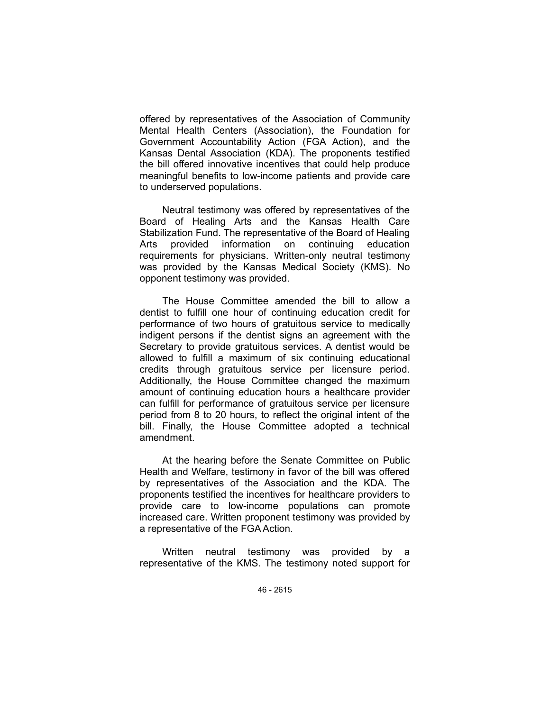offered by representatives of the Association of Community Mental Health Centers (Association), the Foundation for Government Accountability Action (FGA Action), and the Kansas Dental Association (KDA). The proponents testified the bill offered innovative incentives that could help produce meaningful benefits to low-income patients and provide care to underserved populations.

Neutral testimony was offered by representatives of the Board of Healing Arts and the Kansas Health Care Stabilization Fund. The representative of the Board of Healing Arts provided information on continuing education requirements for physicians. Written-only neutral testimony was provided by the Kansas Medical Society (KMS). No opponent testimony was provided.

The House Committee amended the bill to allow a dentist to fulfill one hour of continuing education credit for performance of two hours of gratuitous service to medically indigent persons if the dentist signs an agreement with the Secretary to provide gratuitous services. A dentist would be allowed to fulfill a maximum of six continuing educational credits through gratuitous service per licensure period. Additionally, the House Committee changed the maximum amount of continuing education hours a healthcare provider can fulfill for performance of gratuitous service per licensure period from 8 to 20 hours, to reflect the original intent of the bill. Finally, the House Committee adopted a technical amendment.

At the hearing before the Senate Committee on Public Health and Welfare, testimony in favor of the bill was offered by representatives of the Association and the KDA. The proponents testified the incentives for healthcare providers to provide care to low-income populations can promote increased care. Written proponent testimony was provided by a representative of the FGAAction.

Written neutral testimony was provided by a representative of the KMS. The testimony noted support for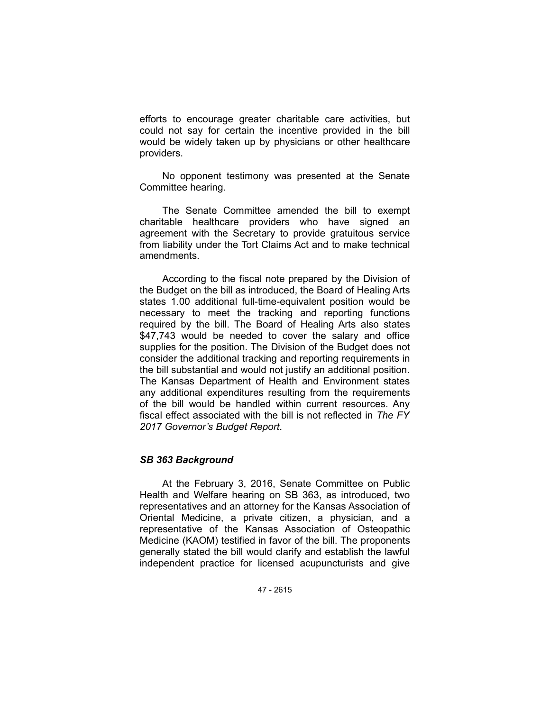efforts to encourage greater charitable care activities, but could not say for certain the incentive provided in the bill would be widely taken up by physicians or other healthcare providers.

No opponent testimony was presented at the Senate Committee hearing.

The Senate Committee amended the bill to exempt charitable healthcare providers who have signed an agreement with the Secretary to provide gratuitous service from liability under the Tort Claims Act and to make technical amendments.

According to the fiscal note prepared by the Division of the Budget on the bill as introduced, the Board of Healing Arts states 1.00 additional full-time-equivalent position would be necessary to meet the tracking and reporting functions required by the bill. The Board of Healing Arts also states \$47,743 would be needed to cover the salary and office supplies for the position. The Division of the Budget does not consider the additional tracking and reporting requirements in the bill substantial and would not justify an additional position. The Kansas Department of Health and Environment states any additional expenditures resulting from the requirements of the bill would be handled within current resources. Any fiscal effect associated with the bill is not reflected in *The FY 2017 Governor's Budget Report*.

## *SB 363 Background*

At the February 3, 2016, Senate Committee on Public Health and Welfare hearing on SB 363, as introduced, two representatives and an attorney for the Kansas Association of Oriental Medicine, a private citizen, a physician, and a representative of the Kansas Association of Osteopathic Medicine (KAOM) testified in favor of the bill. The proponents generally stated the bill would clarify and establish the lawful independent practice for licensed acupuncturists and give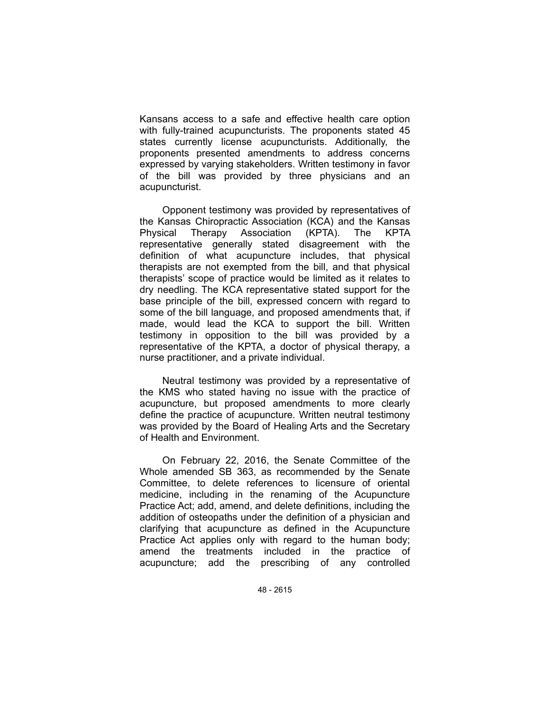Kansans access to a safe and effective health care option with fully-trained acupuncturists. The proponents stated 45 states currently license acupuncturists. Additionally, the proponents presented amendments to address concerns expressed by varying stakeholders. Written testimony in favor of the bill was provided by three physicians and an acupuncturist.

Opponent testimony was provided by representatives of the Kansas Chiropractic Association (KCA) and the Kansas Physical Therapy Association (KPTA). The KPTA representative generally stated disagreement with the definition of what acupuncture includes, that physical therapists are not exempted from the bill, and that physical therapists' scope of practice would be limited as it relates to dry needling. The KCA representative stated support for the base principle of the bill, expressed concern with regard to some of the bill language, and proposed amendments that, if made, would lead the KCA to support the bill. Written testimony in opposition to the bill was provided by a representative of the KPTA, a doctor of physical therapy, a nurse practitioner, and a private individual.

Neutral testimony was provided by a representative of the KMS who stated having no issue with the practice of acupuncture, but proposed amendments to more clearly define the practice of acupuncture. Written neutral testimony was provided by the Board of Healing Arts and the Secretary of Health and Environment.

On February 22, 2016, the Senate Committee of the Whole amended SB 363, as recommended by the Senate Committee, to delete references to licensure of oriental medicine, including in the renaming of the Acupuncture Practice Act; add, amend, and delete definitions, including the addition of osteopaths under the definition of a physician and clarifying that acupuncture as defined in the Acupuncture Practice Act applies only with regard to the human body; amend the treatments included in the practice of acupuncture; add the prescribing of any controlled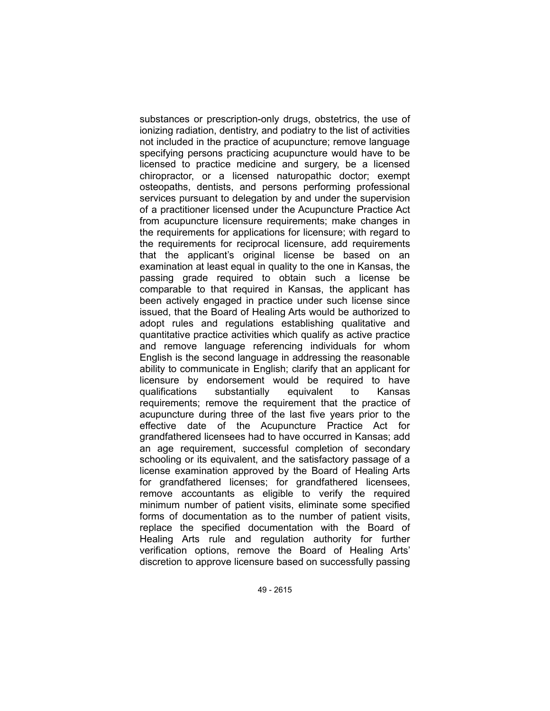substances or prescription-only drugs, obstetrics, the use of ionizing radiation, dentistry, and podiatry to the list of activities not included in the practice of acupuncture; remove language specifying persons practicing acupuncture would have to be licensed to practice medicine and surgery, be a licensed chiropractor, or a licensed naturopathic doctor; exempt osteopaths, dentists, and persons performing professional services pursuant to delegation by and under the supervision of a practitioner licensed under the Acupuncture Practice Act from acupuncture licensure requirements; make changes in the requirements for applications for licensure; with regard to the requirements for reciprocal licensure, add requirements that the applicant's original license be based on an examination at least equal in quality to the one in Kansas, the passing grade required to obtain such a license be comparable to that required in Kansas, the applicant has been actively engaged in practice under such license since issued, that the Board of Healing Arts would be authorized to adopt rules and regulations establishing qualitative and quantitative practice activities which qualify as active practice and remove language referencing individuals for whom English is the second language in addressing the reasonable ability to communicate in English; clarify that an applicant for licensure by endorsement would be required to have qualifications substantially equivalent to Kansas requirements; remove the requirement that the practice of acupuncture during three of the last five years prior to the effective date of the Acupuncture Practice Act for grandfathered licensees had to have occurred in Kansas; add an age requirement, successful completion of secondary schooling or its equivalent, and the satisfactory passage of a license examination approved by the Board of Healing Arts for grandfathered licenses; for grandfathered licensees, remove accountants as eligible to verify the required minimum number of patient visits, eliminate some specified forms of documentation as to the number of patient visits, replace the specified documentation with the Board of Healing Arts rule and regulation authority for further verification options, remove the Board of Healing Arts' discretion to approve licensure based on successfully passing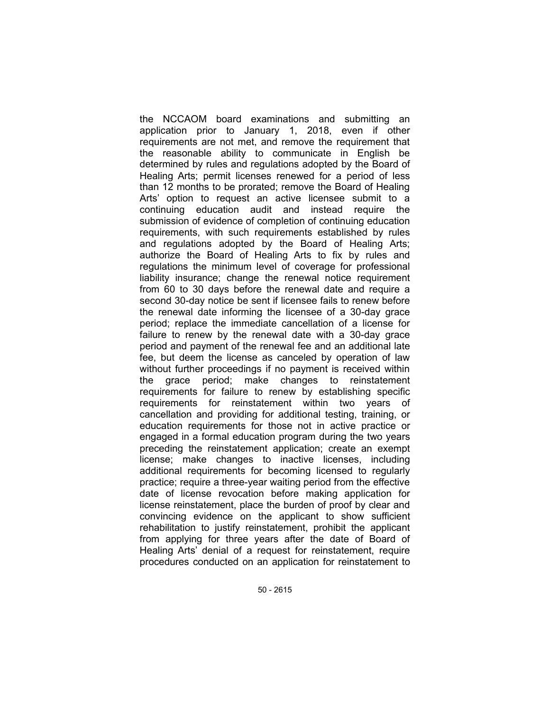the NCCAOM board examinations and submitting an application prior to January 1, 2018, even if other requirements are not met, and remove the requirement that the reasonable ability to communicate in English be determined by rules and regulations adopted by the Board of Healing Arts; permit licenses renewed for a period of less than 12 months to be prorated; remove the Board of Healing Arts' option to request an active licensee submit to a continuing education audit and instead require the submission of evidence of completion of continuing education requirements, with such requirements established by rules and regulations adopted by the Board of Healing Arts; authorize the Board of Healing Arts to fix by rules and regulations the minimum level of coverage for professional liability insurance; change the renewal notice requirement from 60 to 30 days before the renewal date and require a second 30-day notice be sent if licensee fails to renew before the renewal date informing the licensee of a 30-day grace period; replace the immediate cancellation of a license for failure to renew by the renewal date with a 30-day grace period and payment of the renewal fee and an additional late fee, but deem the license as canceled by operation of law without further proceedings if no payment is received within the grace period; make changes to reinstatement requirements for failure to renew by establishing specific requirements for reinstatement within two years of cancellation and providing for additional testing, training, or education requirements for those not in active practice or engaged in a formal education program during the two years preceding the reinstatement application; create an exempt license; make changes to inactive licenses, including additional requirements for becoming licensed to regularly practice; require a three-year waiting period from the effective date of license revocation before making application for license reinstatement, place the burden of proof by clear and convincing evidence on the applicant to show sufficient rehabilitation to justify reinstatement, prohibit the applicant from applying for three years after the date of Board of Healing Arts' denial of a request for reinstatement, require procedures conducted on an application for reinstatement to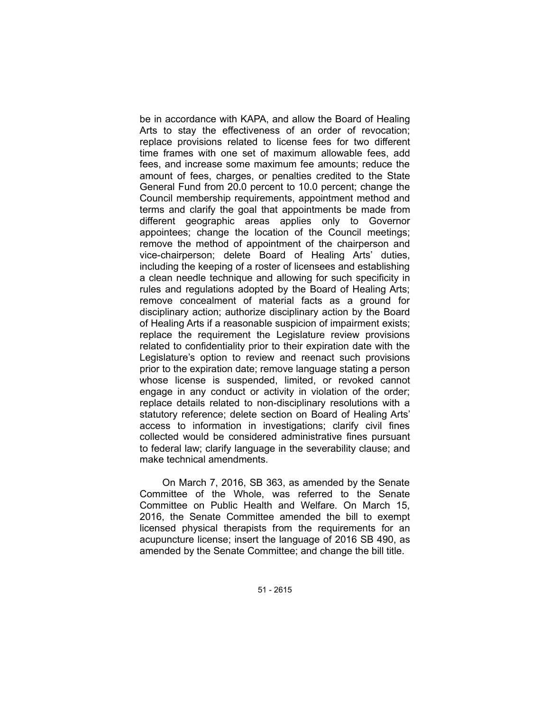be in accordance with KAPA, and allow the Board of Healing Arts to stay the effectiveness of an order of revocation; replace provisions related to license fees for two different time frames with one set of maximum allowable fees, add fees, and increase some maximum fee amounts; reduce the amount of fees, charges, or penalties credited to the State General Fund from 20.0 percent to 10.0 percent; change the Council membership requirements, appointment method and terms and clarify the goal that appointments be made from different geographic areas applies only to Governor appointees; change the location of the Council meetings; remove the method of appointment of the chairperson and vice-chairperson; delete Board of Healing Arts' duties, including the keeping of a roster of licensees and establishing a clean needle technique and allowing for such specificity in rules and regulations adopted by the Board of Healing Arts; remove concealment of material facts as a ground for disciplinary action; authorize disciplinary action by the Board of Healing Arts if a reasonable suspicion of impairment exists; replace the requirement the Legislature review provisions related to confidentiality prior to their expiration date with the Legislature's option to review and reenact such provisions prior to the expiration date; remove language stating a person whose license is suspended, limited, or revoked cannot engage in any conduct or activity in violation of the order; replace details related to non-disciplinary resolutions with a statutory reference; delete section on Board of Healing Arts' access to information in investigations; clarify civil fines collected would be considered administrative fines pursuant to federal law; clarify language in the severability clause; and make technical amendments.

On March 7, 2016, SB 363, as amended by the Senate Committee of the Whole, was referred to the Senate Committee on Public Health and Welfare. On March 15, 2016, the Senate Committee amended the bill to exempt licensed physical therapists from the requirements for an acupuncture license; insert the language of 2016 SB 490, as amended by the Senate Committee; and change the bill title.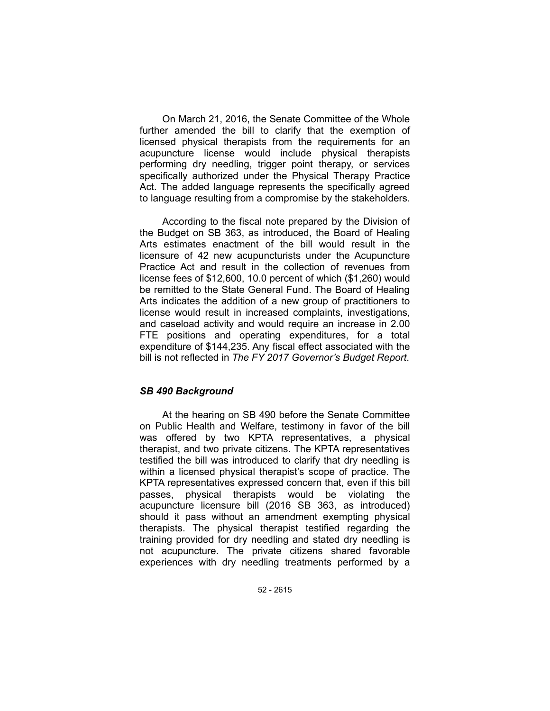On March 21, 2016, the Senate Committee of the Whole further amended the bill to clarify that the exemption of licensed physical therapists from the requirements for an acupuncture license would include physical therapists performing dry needling, trigger point therapy, or services specifically authorized under the Physical Therapy Practice Act. The added language represents the specifically agreed to language resulting from a compromise by the stakeholders.

According to the fiscal note prepared by the Division of the Budget on SB 363, as introduced, the Board of Healing Arts estimates enactment of the bill would result in the licensure of 42 new acupuncturists under the Acupuncture Practice Act and result in the collection of revenues from license fees of \$12,600, 10.0 percent of which (\$1,260) would be remitted to the State General Fund. The Board of Healing Arts indicates the addition of a new group of practitioners to license would result in increased complaints, investigations, and caseload activity and would require an increase in 2.00 FTE positions and operating expenditures, for a total expenditure of \$144,235. Any fiscal effect associated with the bill is not reflected in *The FY 2017 Governor's Budget Report*.

#### *SB 490 Background*

At the hearing on SB 490 before the Senate Committee on Public Health and Welfare, testimony in favor of the bill was offered by two KPTA representatives, a physical therapist, and two private citizens. The KPTA representatives testified the bill was introduced to clarify that dry needling is within a licensed physical therapist's scope of practice. The KPTA representatives expressed concern that, even if this bill passes, physical therapists would be violating the acupuncture licensure bill (2016 SB 363, as introduced) should it pass without an amendment exempting physical therapists. The physical therapist testified regarding the training provided for dry needling and stated dry needling is not acupuncture. The private citizens shared favorable experiences with dry needling treatments performed by a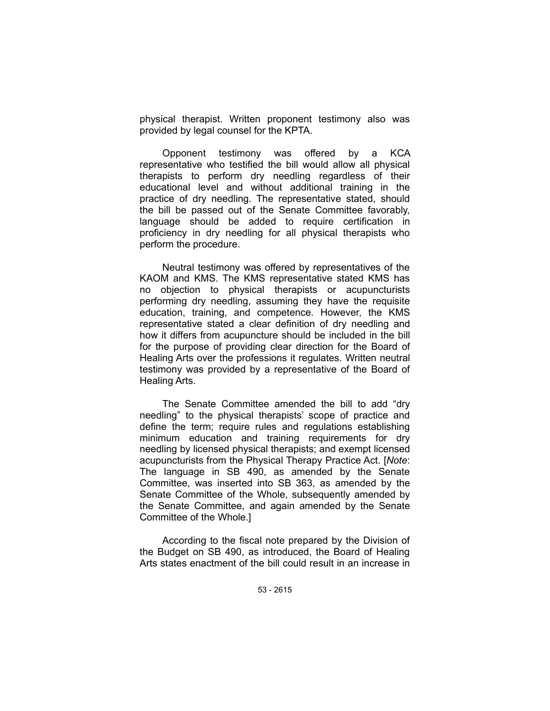physical therapist. Written proponent testimony also was provided by legal counsel for the KPTA.

Opponent testimony was offered by a KCA representative who testified the bill would allow all physical therapists to perform dry needling regardless of their educational level and without additional training in the practice of dry needling. The representative stated, should the bill be passed out of the Senate Committee favorably, language should be added to require certification in proficiency in dry needling for all physical therapists who perform the procedure.

Neutral testimony was offered by representatives of the KAOM and KMS. The KMS representative stated KMS has no objection to physical therapists or acupuncturists performing dry needling, assuming they have the requisite education, training, and competence. However, the KMS representative stated a clear definition of dry needling and how it differs from acupuncture should be included in the bill for the purpose of providing clear direction for the Board of Healing Arts over the professions it regulates. Written neutral testimony was provided by a representative of the Board of Healing Arts.

The Senate Committee amended the bill to add "dry needling" to the physical therapists' scope of practice and define the term; require rules and regulations establishing minimum education and training requirements for dry needling by licensed physical therapists; and exempt licensed acupuncturists from the Physical Therapy Practice Act. [*Note*: The language in SB 490, as amended by the Senate Committee, was inserted into SB 363, as amended by the Senate Committee of the Whole, subsequently amended by the Senate Committee, and again amended by the Senate Committee of the Whole.]

According to the fiscal note prepared by the Division of the Budget on SB 490, as introduced, the Board of Healing Arts states enactment of the bill could result in an increase in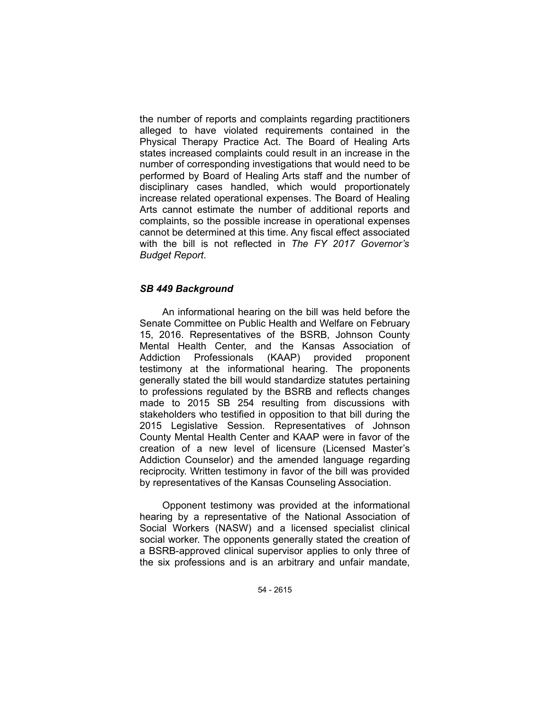the number of reports and complaints regarding practitioners alleged to have violated requirements contained in the Physical Therapy Practice Act. The Board of Healing Arts states increased complaints could result in an increase in the number of corresponding investigations that would need to be performed by Board of Healing Arts staff and the number of disciplinary cases handled, which would proportionately increase related operational expenses. The Board of Healing Arts cannot estimate the number of additional reports and complaints, so the possible increase in operational expenses cannot be determined at this time. Any fiscal effect associated with the bill is not reflected in *The FY 2017 Governor's Budget Report*.

### *SB 449 Background*

An informational hearing on the bill was held before the Senate Committee on Public Health and Welfare on February 15, 2016. Representatives of the BSRB, Johnson County Mental Health Center, and the Kansas Association of Addiction Professionals (KAAP) provided proponent testimony at the informational hearing. The proponents generally stated the bill would standardize statutes pertaining to professions regulated by the BSRB and reflects changes made to 2015 SB 254 resulting from discussions with stakeholders who testified in opposition to that bill during the 2015 Legislative Session. Representatives of Johnson County Mental Health Center and KAAP were in favor of the creation of a new level of licensure (Licensed Master's Addiction Counselor) and the amended language regarding reciprocity. Written testimony in favor of the bill was provided by representatives of the Kansas Counseling Association.

Opponent testimony was provided at the informational hearing by a representative of the National Association of Social Workers (NASW) and a licensed specialist clinical social worker. The opponents generally stated the creation of a BSRB-approved clinical supervisor applies to only three of the six professions and is an arbitrary and unfair mandate,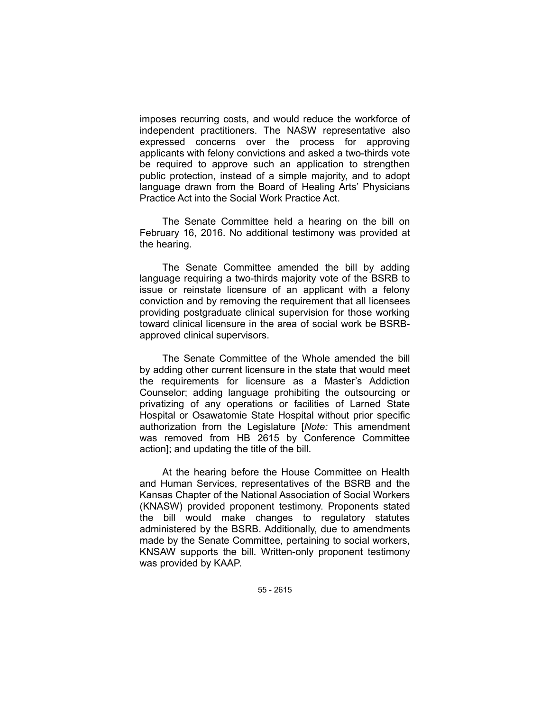imposes recurring costs, and would reduce the workforce of independent practitioners. The NASW representative also expressed concerns over the process for approving applicants with felony convictions and asked a two-thirds vote be required to approve such an application to strengthen public protection, instead of a simple majority, and to adopt language drawn from the Board of Healing Arts' Physicians Practice Act into the Social Work Practice Act.

The Senate Committee held a hearing on the bill on February 16, 2016. No additional testimony was provided at the hearing.

The Senate Committee amended the bill by adding language requiring a two-thirds majority vote of the BSRB to issue or reinstate licensure of an applicant with a felony conviction and by removing the requirement that all licensees providing postgraduate clinical supervision for those working toward clinical licensure in the area of social work be BSRBapproved clinical supervisors.

The Senate Committee of the Whole amended the bill by adding other current licensure in the state that would meet the requirements for licensure as a Master's Addiction Counselor; adding language prohibiting the outsourcing or privatizing of any operations or facilities of Larned State Hospital or Osawatomie State Hospital without prior specific authorization from the Legislature [*Note:* This amendment was removed from HB 2615 by Conference Committee action]; and updating the title of the bill.

At the hearing before the House Committee on Health and Human Services, representatives of the BSRB and the Kansas Chapter of the National Association of Social Workers (KNASW) provided proponent testimony. Proponents stated the bill would make changes to regulatory statutes administered by the BSRB. Additionally, due to amendments made by the Senate Committee, pertaining to social workers, KNSAW supports the bill. Written-only proponent testimony was provided by KAAP.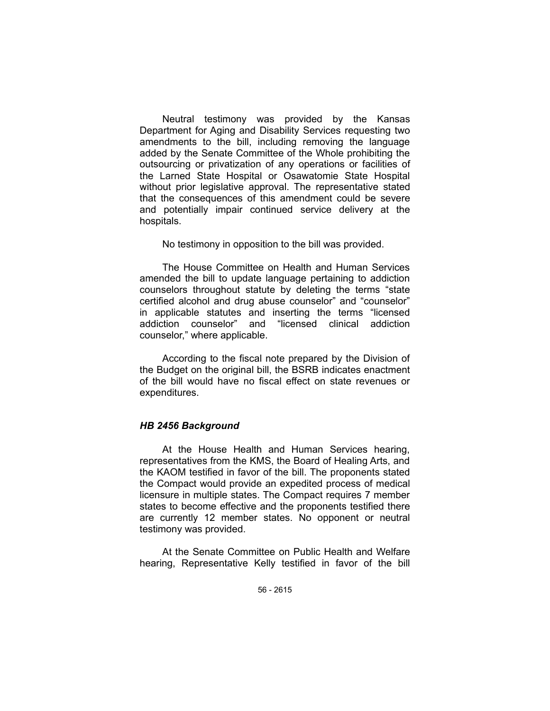Neutral testimony was provided by the Kansas Department for Aging and Disability Services requesting two amendments to the bill, including removing the language added by the Senate Committee of the Whole prohibiting the outsourcing or privatization of any operations or facilities of the Larned State Hospital or Osawatomie State Hospital without prior legislative approval. The representative stated that the consequences of this amendment could be severe and potentially impair continued service delivery at the hospitals.

No testimony in opposition to the bill was provided.

The House Committee on Health and Human Services amended the bill to update language pertaining to addiction counselors throughout statute by deleting the terms "state certified alcohol and drug abuse counselor" and "counselor" in applicable statutes and inserting the terms "licensed addiction counselor" and "licensed clinical addiction counselor," where applicable.

According to the fiscal note prepared by the Division of the Budget on the original bill, the BSRB indicates enactment of the bill would have no fiscal effect on state revenues or expenditures.

# *HB 2456 Background*

At the House Health and Human Services hearing, representatives from the KMS, the Board of Healing Arts, and the KAOM testified in favor of the bill. The proponents stated the Compact would provide an expedited process of medical licensure in multiple states. The Compact requires 7 member states to become effective and the proponents testified there are currently 12 member states. No opponent or neutral testimony was provided.

At the Senate Committee on Public Health and Welfare hearing, Representative Kelly testified in favor of the bill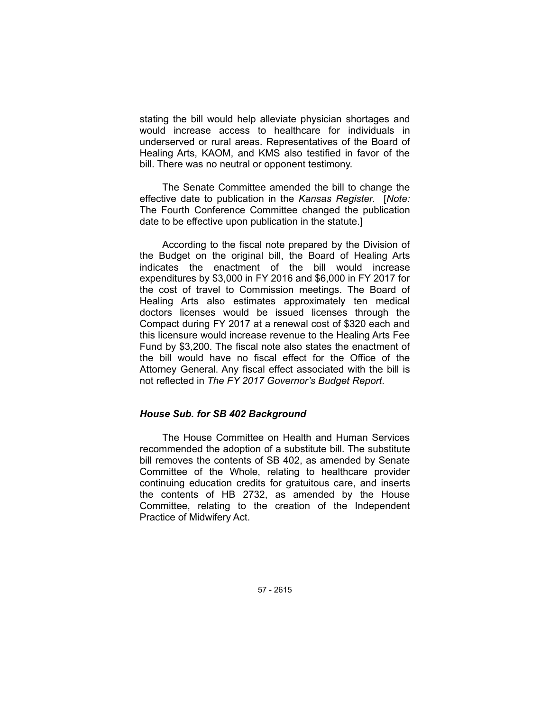stating the bill would help alleviate physician shortages and would increase access to healthcare for individuals in underserved or rural areas. Representatives of the Board of Healing Arts, KAOM, and KMS also testified in favor of the bill. There was no neutral or opponent testimony.

The Senate Committee amended the bill to change the effective date to publication in the *Kansas Register*. [*Note:* The Fourth Conference Committee changed the publication date to be effective upon publication in the statute.]

According to the fiscal note prepared by the Division of the Budget on the original bill, the Board of Healing Arts indicates the enactment of the bill would increase expenditures by \$3,000 in FY 2016 and \$6,000 in FY 2017 for the cost of travel to Commission meetings. The Board of Healing Arts also estimates approximately ten medical doctors licenses would be issued licenses through the Compact during FY 2017 at a renewal cost of \$320 each and this licensure would increase revenue to the Healing Arts Fee Fund by \$3,200. The fiscal note also states the enactment of the bill would have no fiscal effect for the Office of the Attorney General. Any fiscal effect associated with the bill is not reflected in *The FY 2017 Governor's Budget Report*.

## *House Sub. for SB 402 Background*

The House Committee on Health and Human Services recommended the adoption of a substitute bill. The substitute bill removes the contents of SB 402, as amended by Senate Committee of the Whole, relating to healthcare provider continuing education credits for gratuitous care, and inserts the contents of HB 2732, as amended by the House Committee, relating to the creation of the Independent Practice of Midwifery Act.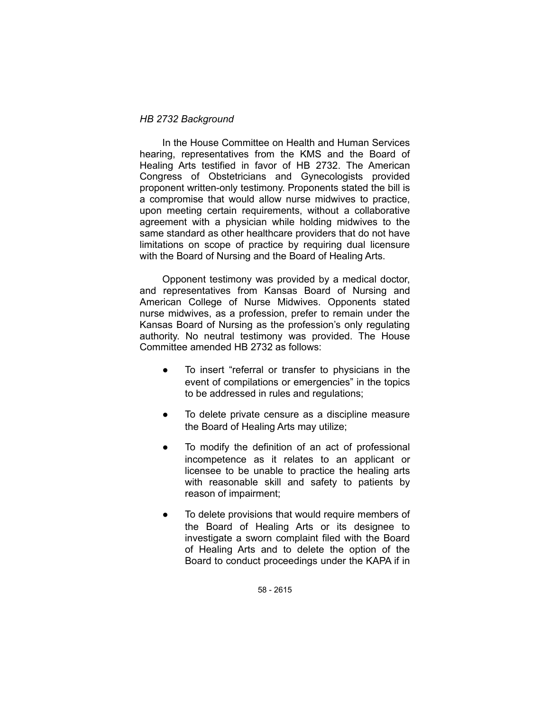### *HB 2732 Background*

In the House Committee on Health and Human Services hearing, representatives from the KMS and the Board of Healing Arts testified in favor of HB 2732. The American Congress of Obstetricians and Gynecologists provided proponent written-only testimony. Proponents stated the bill is a compromise that would allow nurse midwives to practice, upon meeting certain requirements, without a collaborative agreement with a physician while holding midwives to the same standard as other healthcare providers that do not have limitations on scope of practice by requiring dual licensure with the Board of Nursing and the Board of Healing Arts.

Opponent testimony was provided by a medical doctor, and representatives from Kansas Board of Nursing and American College of Nurse Midwives. Opponents stated nurse midwives, as a profession, prefer to remain under the Kansas Board of Nursing as the profession's only regulating authority. No neutral testimony was provided. The House Committee amended HB 2732 as follows:

- To insert "referral or transfer to physicians in the event of compilations or emergencies" in the topics to be addressed in rules and regulations;
- To delete private censure as a discipline measure the Board of Healing Arts may utilize;
- To modify the definition of an act of professional incompetence as it relates to an applicant or licensee to be unable to practice the healing arts with reasonable skill and safety to patients by reason of impairment;
- To delete provisions that would require members of the Board of Healing Arts or its designee to investigate a sworn complaint filed with the Board of Healing Arts and to delete the option of the Board to conduct proceedings under the KAPA if in